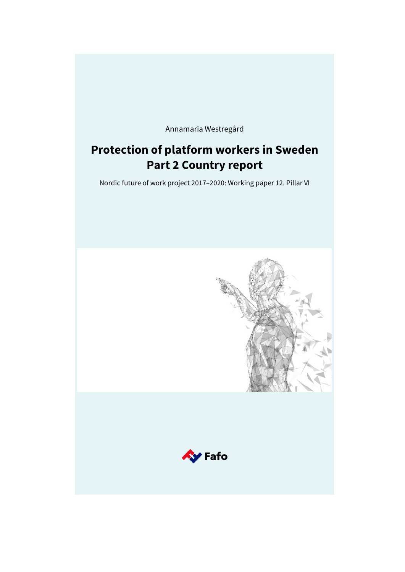Annamaria Westregård

# **Protection of platform workers in Sweden Part 2 Country report**

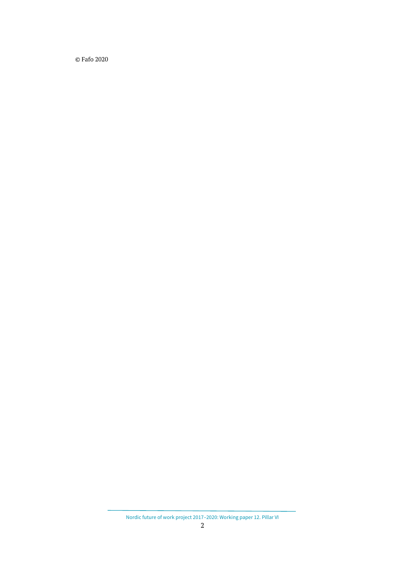© Fafo 2020

Nordic future of work project 2017–2020: Working paper 12. Pillar VI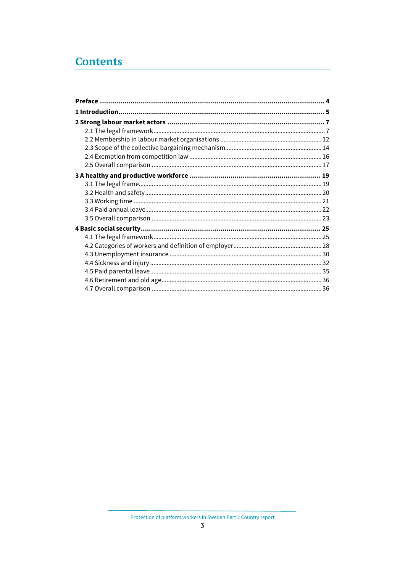# **Contents**

Protection of platform workers in Sweden Part 2 Country report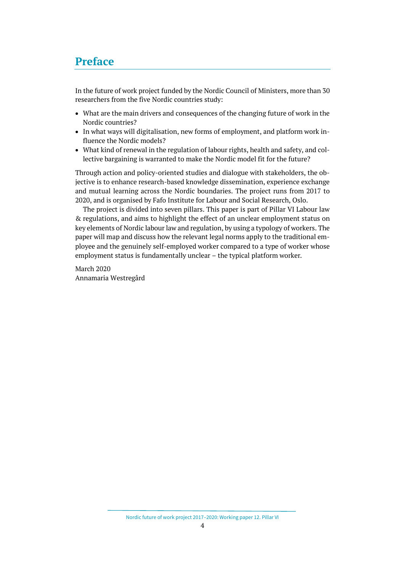## <span id="page-3-0"></span>**Preface**

In the future of work project funded by the Nordic Council of Ministers, more than 30 researchers from the five Nordic countries study:

- What are the main drivers and consequences of the changing future of work in the Nordic countries?
- In what ways will digitalisation, new forms of employment, and platform work influence the Nordic models?
- What kind of renewal in the regulation of labour rights, health and safety, and collective bargaining is warranted to make the Nordic model fit for the future?

Through action and policy-oriented studies and dialogue with stakeholders, the objective is to enhance research-based knowledge dissemination, experience exchange and mutual learning across the Nordic boundaries. The project runs from 2017 to 2020, and is organised by Fafo Institute for Labour and Social Research, Oslo.

The project is divided into seven pillars. This paper is part of Pillar VI Labour law & regulations, and aims to highlight the effect of an unclear employment status on key elements of Nordic labour law and regulation, by using a typology of workers. The paper will map and discuss how the relevant legal norms apply to the traditional employee and the genuinely self-employed worker compared to a type of worker whose employment status is fundamentally unclear – the typical platform worker*.*

March 2020 Annamaria Westregård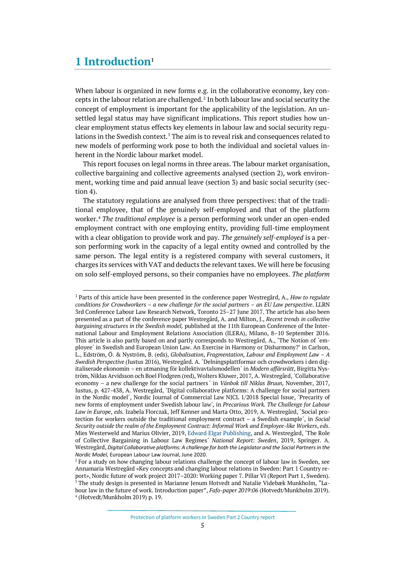## <span id="page-4-0"></span>**1 Introduction[1](#page-4-1)**

When labour is organized in new forms e.g. in the collaborative economy, key con-cepts in the labour relation are challenged.<sup>[2](#page-4-2)</sup> In both labour law and social security the concept of employment is important for the applicability of the legislation. An unsettled legal status may have significant implications. This report studies how unclear employment status effects key elements in labour law and social security regu-lations in the Swedish context.<sup>[3](#page-4-3)</sup> The aim is to reveal risk and consequences related to new models of performing work pose to both the individual and societal values inherent in the Nordic labour market model.

This report focuses on legal norms in three areas. The labour market organisation, collective bargaining and collective agreements analysed (section 2), work environment, working time and paid annual leave (section 3) and basic social security (section 4).

The statutory regulations are analysed from three perspectives: that of the traditional employee, that of the genuinely self-employed and that of the platform worker. [4](#page-4-4) *The traditional employee* is a person performing work under an open-ended employment contract with one employing entity, providing full-time employment with a clear obligation to provide work and pay. *The genuinely self-employed* is a person performing work in the capacity of a legal entity owned and controlled by the same person. The legal entity is a registered company with several customers, it charges its services with VAT and deducts the relevant taxes. We will here be focusing on solo self-employed persons, so their companies have no employees. *The platform* 

<span id="page-4-1"></span><sup>1</sup> Parts of this article have been presented in the conference paper Westregård, A., *How to regulate conditions for Crowdworkers – a new challenge for the social partners – an EU Law perspective*. LLRN 3rd Conference Labour Law Research Network, Toronto 25–27 June 2017. The article has also been presented as a part of the conference paper Westregård, A. and Milton, J., *Recent trends in collective bargaining structures in the Swedish model,* published at the 11th European Conference of the International Labour and Employment Relations Association (ILERA), Milano, 8–10 September 2016. This article is also partly based on and partly corresponds to Westregård, A., 'The Notion of `employee´ in Swedish and European Union Law. An Exercise in Harmony or Disharmony?' in Carlson, L., Edström, Ö. & Nyström, B. (eds), *Globalisation, Fragmentation, Labour and Employment Law – A Swedish Perspective* (Iustus 2016), Westregård. A. `Delningsplattformar och crowdworkers i den digitaliserade ekonomin – en utmaning för kollektivavtalsmodellen´ in *Modern affärsrätt*, Birgitta Nyström, Niklas Arvidsson och Boel Flodgren (red), Wolters Kluwer, 2017*,* A. Westregård, *`*Collaborative economy – a new challenge for the social partners*´* in *Vänbok till Niklas Bruun,* November, 2017, Iustus, p. 427-438, A. Westregård, `Digital collaborative platforms: A challenge for social partners in the Nordic model´, Nordic Journal of Commercial Law NJCL 1/2018 Special Issue, `Precarity of new forms of employment under Swedish labour law´*,* in *Precarious Work. The Challenge for Labour Law in Europe*, *eds.* Izabela Florczak, Jeff Kenner and Marta Otto, 2019, A. Westregård, `Social protection for workers outside the traditional employment contract – a Swedish example´, in *Social Security outside the realm of the Employment Contract: Informal Work and Employee-like Workers*, *eds*. Mies Westerweld and Marius Olivier, 2019[, Edward Elgar Publishing,](https://www.e-elgar.com/) and A. Westregård, `The Role of Collective Bargaining in Labour Law Regimes´ *National Report: Sweden*, 2019, Springer. A. Westregård, *Digital Collaborative platforms: A challenge for both the Legislator and the Social Partners in the Nordic Model*, European Labour Law Journal, June 2020.

<span id="page-4-4"></span><span id="page-4-3"></span><span id="page-4-2"></span><sup>&</sup>lt;sup>2</sup> For a study on how changing labour relations challenge the concept of labour law in Sweden, see Annamaria Westregård «Key concepts and changing labour relations in Sweden: Part 1 Country report», Nordic future of work project 2017–2020: Working paper 7. Pillar VI (Report Part 1, Sweden). <sup>3</sup> The study design is presented in Marianne Jenum Hotvedt and Natalie Videbæk Munkholm, "Labour law in the future of work. Introduction paper", *Fafo-paper 2019:06* (Hotvedt/Munkholm 2019). <sup>4</sup> (Hotvedt/Munkholm 2019) p. 19.

Protection of platform workers in Sweden Part 2 Country report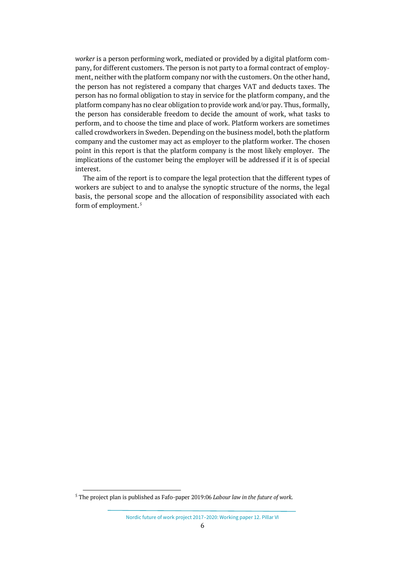*worker* is a person performing work, mediated or provided by a digital platform company, for different customers. The person is not party to a formal contract of employment, neither with the platform company nor with the customers. On the other hand, the person has not registered a company that charges VAT and deducts taxes. The person has no formal obligation to stay in service for the platform company, and the platform company has no clear obligation to provide work and/or pay. Thus, formally, the person has considerable freedom to decide the amount of work, what tasks to perform, and to choose the time and place of work. Platform workers are sometimes called crowdworkers in Sweden. Depending on the business model, both the platform company and the customer may act as employer to the platform worker. The chosen point in this report is that the platform company is the most likely employer. The implications of the customer being the employer will be addressed if it is of special interest.

The aim of the report is to compare the legal protection that the different types of workers are subject to and to analyse the synoptic structure of the norms, the legal basis, the personal scope and the allocation of responsibility associated with each form of employment. [5](#page-5-0)

<span id="page-5-0"></span><sup>5</sup> The project plan is published as Fafo-paper 2019:06 *Labour law in the future of work.*

Nordic future of work project 2017–2020: Working paper 12. Pillar VI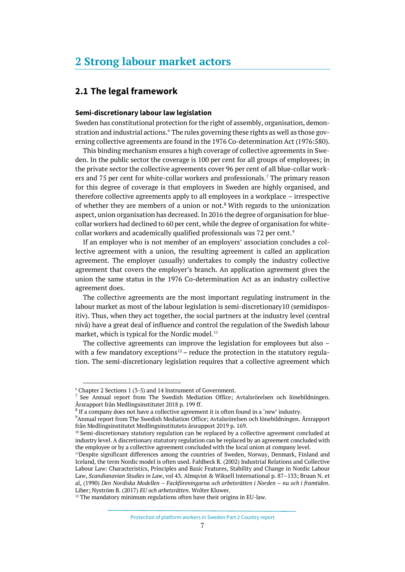## <span id="page-6-0"></span>**2 Strong labour market actors**

## <span id="page-6-1"></span>**2.1 The legal framework**

#### **Semi-discretionary labour law legislation**

Sweden has constitutional protection for the right of assembly, organisation, demon-stration and industrial actions.<sup>[6](#page-6-2)</sup> The rules governing these rights as well as those governing collective agreements are found in the 1976 Co-determination Act (1976:580).

This binding mechanism ensures a high coverage of collective agreements in Sweden. In the public sector the coverage is 100 per cent for all groups of employees; in the private sector the collective agreements cover 96 per cent of all blue-collar work-ers and [7](#page-6-3)5 per cent for white-collar workers and professionals.<sup>7</sup> The primary reason for this degree of coverage is that employers in Sweden are highly organised, and therefore collective agreements apply to all employees in a workplace – irrespective of whether they are members of a union or not.<sup>[8](#page-6-4)</sup> With regards to the unionization aspect, union organisation has decreased. In 2016 the degree of organisation for bluecollar workers had declined to 60 per cent, while the degree of organisation for white-collar workers and academically qualified professionals was 72 per cent.<sup>[9](#page-6-5)</sup>

If an employer who is not member of an employers' association concludes a collective agreement with a union, the resulting agreement is called an application agreement. The employer (usually) undertakes to comply the industry collective agreement that covers the employer's branch. An application agreement gives the union the same status in the 1976 Co-determination Act as an industry collective agreement does.

The collective agreements are the most important regulating instrument in the labour market as most of the labour legislation is semi-discretionary[10](#page-6-6) (semidispositiv). Thus, when they act together, the social partners at the industry level (central nivå) have a great deal of influence and control the regulation of the Swedish labour market, which is typical for the Nordic model. [11](#page-6-7)

The collective agreements can improve the legislation for employees but also – with a few mandatory exceptions<sup>[12](#page-6-8)</sup> – reduce the protection in the statutory regulation. The semi-discretionary legislation requires that a collective agreement which

Protection of platform workers in Sweden Part 2 Country report

<span id="page-6-2"></span><sup>6</sup> Chapter 2 Sections 1 (3-5) and 14 Instrument of Government.

<span id="page-6-3"></span><sup>7</sup> See Annual report from The Swedish Mediation Office; Avtalsrörelsen och lönebildningen. Årsrapport från Medlingsinstitutet 2018 p. 199 ff.

<span id="page-6-4"></span><sup>&</sup>lt;sup>8</sup> If a company does not have a collective agreement it is often found in a 'new' industry.

<span id="page-6-5"></span><sup>9</sup> Annual report from The Swedish Mediation Office; Avtalsrörelsen och lönebildningen. Årsrapport från Medlingsinstitutet Medlingsinstitutets årsrapport 2019 p. 169.

<span id="page-6-6"></span><sup>&</sup>lt;sup>10</sup> Semi-discretionary statutory regulation can be replaced by a collective agreement concluded at industry level. A discretionary statutory regulation can be replaced by an agreement concluded with

<span id="page-6-7"></span>the employee or by a collective agreement concluded with the local union at company level.<br><sup>11</sup>Despite significant differences among the countries of Sweden, Norway, Denmark, Finland and Iceland, the term Nordic model is often used. Fahlbeck R. (2002) Industrial Relations and Collective Labour Law: Characteristics, Principles and Basic Features, Stability and Change in Nordic Labour Law, *Scandianavian Studies in Law*, vol 43. Almqvist & Wiksell International p. 87–133; Bruun N. et al, (1990) *Den Nordiska Modellen – Fackföreningarna och arbetsrätten i Norden – nu och i framtiden*. Liber; Nyström B. (2017) *EU och arbetsrätten*. Wolter Kluwer. 12 The mandatory minimum regulations often have their origins in EU-law.

<span id="page-6-8"></span>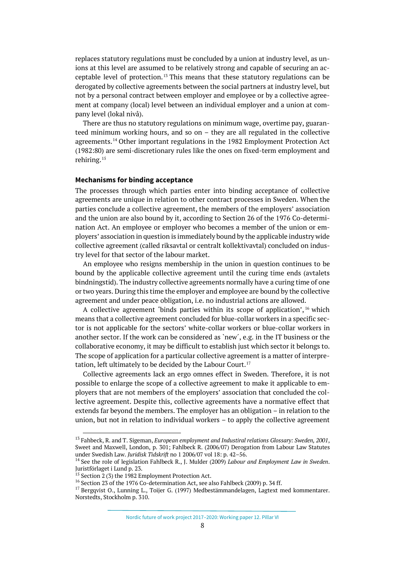replaces statutory regulations must be concluded by a union at industry level, as unions at this level are assumed to be relatively strong and capable of securing an ac-ceptable level of protection.<sup>[13](#page-7-0)</sup> This means that these statutory regulations can be derogated by collective agreements between the social partners at industry level, but not by a personal contract between employer and employee or by a collective agreement at company (local) level between an individual employer and a union at company level (lokal nivå).

There are thus no statutory regulations on minimum wage, overtime pay, guaranteed minimum working hours, and so on – they are all regulated in the collective agreements.<sup>[14](#page-7-1)</sup> Other important regulations in the 1982 Employment Protection Act (1982:80) are semi-discretionary rules like the ones on fixed-term employment and rehiring.[15](#page-7-2)

#### **Mechanisms for binding acceptance**

The processes through which parties enter into binding acceptance of collective agreements are unique in relation to other contract processes in Sweden. When the parties conclude a collective agreement, the members of the employers' association and the union are also bound by it, according to Section 26 of the 1976 Co-determination Act. An employee or employer who becomes a member of the union or employers' association in question is immediately bound by the applicable industry wide collective agreement (called riksavtal or centralt kollektivavtal) concluded on industry level for that sector of the labour market.

An employee who resigns membership in the union in question continues to be bound by the applicable collective agreement until the curing time ends (avtalets bindningstid). The industry collective agreements normally have a curing time of one or two years. During this time the employer and employee are bound by the collective agreement and under peace obligation, i.e. no industrial actions are allowed.

A collective agreement 'binds parties within its scope of application', [16](#page-7-3) which means that a collective agreement concluded for blue-collar workers in a specific sector is not applicable for the sectors' white-collar workers or blue-collar workers in another sector. If the work can be considered as `new´, e.g. in the IT business or the collaborative economy, it may be difficult to establish just which sector it belongs to. The scope of application for a particular collective agreement is a matter of interpre-tation, left ultimately to be decided by the Labour Court.<sup>[17](#page-7-4)</sup>

Collective agreements lack an ergo omnes effect in Sweden. Therefore, it is not possible to enlarge the scope of a collective agreement to make it applicable to employers that are not members of the employers' association that concluded the collective agreement. Despite this, collective agreements have a normative effect that extends far beyond the members. The employer has an obligation – in relation to the union, but not in relation to individual workers – to apply the collective agreement

<span id="page-7-0"></span><sup>13</sup> Fahbeck, R. and T. Sigeman, *European employment and Industiral relations Glossary: Sweden, 2001*, Sweet and Maxwell, London, p. 301; Fahlbeck R. (2006/07) Derogation from Labour Law Statutes under Swedish Law. *Juridisk Tidskrift* no 1 2006/07 vol 18: p. 42–56.

<span id="page-7-1"></span><sup>14</sup> See the role of legislation Fahlbeck R., J. Mulder (2009) *Labour and Employment Law in Sweden*. Juristförlaget i Lund p. 23.

<sup>&</sup>lt;sup>15</sup> Section 2 (3) the 1982 Employment Protection Act.

<span id="page-7-3"></span><span id="page-7-2"></span><sup>16</sup> Section 23 of the 1976 Co-determination Act, see also Fahlbeck (2009) p. 34 ff.

<span id="page-7-4"></span><sup>&</sup>lt;sup>17</sup> Bergqvist O., Lunning L., Toijer G. (1997) Medbestämmandelagen, Lagtext med kommentarer. Norstedts, Stockholm p. 310.

Nordic future of work project 2017–2020: Working paper 12. Pillar VI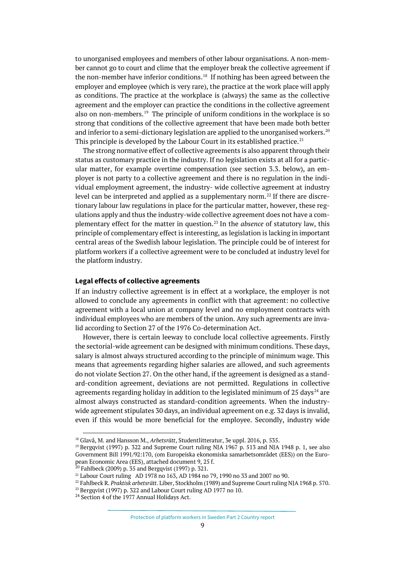to unorganised employees and members of other labour organisations. A non-member cannot go to court and clime that the employer break the collective agreement if the non-member have inferior conditions.<sup>[18](#page-8-0)</sup> If nothing has been agreed between the employer and employee (which is very rare), the practice at the work place will apply as conditions. The practice at the workplace is (always) the same as the collective agreement and the employer can practice the conditions in the collective agreement also on non-members.<sup>[19](#page-8-1)</sup> The principle of uniform conditions in the workplace is so strong that conditions of the collective agreement that have been made both better and inferior to a semi-dictionary legislation are applied to the unorganised workers. $20$ This principle is developed by the Labour Court in its established practice. $21$ 

The strong normative effect of collective agreements is also apparent through their status as customary practice in the industry. If no legislation exists at all for a particular matter, for example overtime compensation (see section 3.3. below), an employer is not party to a collective agreement and there is no regulation in the individual employment agreement, the industry- wide collective agreement at industry level can be interpreted and applied as a supplementary norm.<sup>[22](#page-8-4)</sup> If there are discretionary labour law regulations in place for the particular matter, however, these regulations apply and thus the industry-wide collective agreement does not have a complementary effect for the matter in question.[23](#page-8-5) In the *absence* of statutory law, this principle of complementary effect is interesting, as legislation is lacking in important central areas of the Swedish labour legislation. The principle could be of interest for platform workers if a collective agreement were to be concluded at industry level for the platform industry.

#### **Legal effects of collective agreements**

If an industry collective agreement is in effect at a workplace, the employer is not allowed to conclude any agreements in conflict with that agreement: no collective agreement with a local union at company level and no employment contracts with individual employees who are members of the union. Any such agreements are invalid according to Section 27 of the 1976 Co-determination Act.

However, there is certain leeway to conclude local collective agreements. Firstly the sectorial-wide agreement can be designed with minimum conditions. These days, salary is almost always structured according to the principle of minimum wage. This means that agreements regarding higher salaries are allowed, and such agreements do not violate Section 27. On the other hand, if the agreement is designed as a standard-condition agreement, deviations are not permitted. Regulations in collective agreements regarding holiday in addition to the legislated minimum of 25 days<sup>[24](#page-8-6)</sup> are almost always constructed as standard-condition agreements. When the industrywide agreement stipulates 30 days, an individual agreement on e.g. 32 days is invalid, even if this would be more beneficial for the employee. Secondly, industry wide

<span id="page-8-3"></span><span id="page-8-2"></span> $^{20}$  Fahlbeck (2009) p. 35 and Bergqvist (1997) p. 321.

<span id="page-8-0"></span><sup>18</sup> Glavå, M. and Hansson M., *Arbetsrätt*, Studentlitteratur, 3e uppl. 2016, p. 535.

<span id="page-8-1"></span><sup>&</sup>lt;sup>19</sup> Bergqvist (1997) p. 322 and Supreme Court ruling NJA 1967 p. 513 and NJA 1948 p. 1, see also Government Bill 1991/92:170, (om Europeiska ekonomiska samarbetsområdet (EES)) on the European Economic Area (EES), attached document 9, 25 f.

<sup>21</sup> Labour Court ruling AD 1978 no 163, AD 1984 no 79, 1990 no 33 and 2007 no 90.

<sup>22</sup> Fahlbeck R. *Praktisk arbetsrätt*. Liber, Stockholm (1989) and Supreme Court ruling NJA1968 p. 570.

<span id="page-8-6"></span><span id="page-8-5"></span><span id="page-8-4"></span><sup>&</sup>lt;sup>23</sup> Bergqvist (1997) p. 322 and Labour Court ruling AD 1977 no 10.

<sup>&</sup>lt;sup>24</sup> Section 4 of the 1977 Annual Holidays Act.

Protection of platform workers in Sweden Part 2 Country report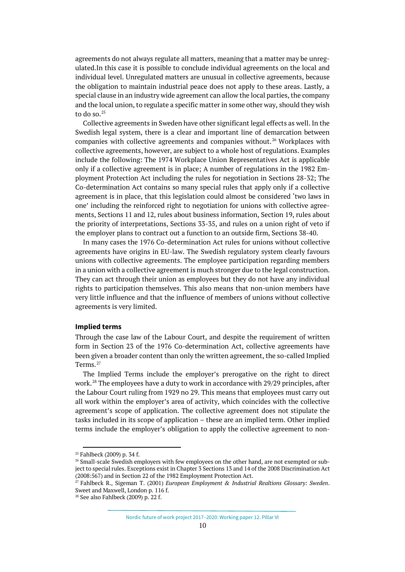agreements do not always regulate all matters, meaning that a matter may be unregulated.In this case it is possible to conclude individual agreements on the local and individual level. Unregulated matters are unusual in collective agreements, because the obligation to maintain industrial peace does not apply to these areas. Lastly, a special clause in an industry wide agreement can allow the local parties, the company and the local union, to regulate a specific matter in some other way, should they wish to do so. $25$ 

Collective agreements in Sweden have other significant legal effects as well. In the Swedish legal system, there is a clear and important line of demarcation between companies with collective agreements and companies without. [26](#page-9-1) Workplaces with collective agreements, however, are subject to a whole host of regulations. Examples include the following: The 1974 Workplace Union Representatives Act is applicable only if a collective agreement is in place; A number of regulations in the 1982 Employment Protection Act including the rules for negotiation in Sections 28-32; The Co-determination Act contains so many special rules that apply only if a collective agreement is in place, that this legislation could almost be considered 'two laws in one' including the reinforced right to negotiation for unions with collective agreements, Sections 11 and 12, rules about business information, Section 19, rules about the priority of interpretations, Sections 33-35, and rules on a union right of veto if the employer plans to contract out a function to an outside firm, Sections 38-40.

In many cases the 1976 Co-determination Act rules for unions without collective agreements have origins in EU-law. The Swedish regulatory system clearly favours unions with collective agreements. The employee participation regarding members in a union with a collective agreement is much stronger due to the legal construction. They can act through their union as employees but they do not have any individual rights to participation themselves. This also means that non-union members have very little influence and that the influence of members of unions without collective agreements is very limited.

### **Implied terms**

Through the case law of the Labour Court, and despite the requirement of written form in Section 23 of the 1976 Co-determination Act, collective agreements have been given a broader content than only the written agreement, the so-called Implied Terms. [27](#page-9-2)

The Implied Terms include the employer's prerogative on the right to direct work.[28](#page-9-3) The employees have a duty to work in accordance with 29/29 principles, after the Labour Court ruling from 1929 no 29. This means that employees must carry out all work within the employer's area of activity, which coincides with the collective agreement's scope of application. The collective agreement does not stipulate the tasks included in its scope of application – these are an implied term. Other implied terms include the employer's obligation to apply the collective agreement to non-

<sup>25</sup> Fahlbeck (2009) p. 34 f.

<span id="page-9-1"></span><span id="page-9-0"></span><sup>&</sup>lt;sup>26</sup> Small-scale Swedish employers with few employees on the other hand, are not exempted or subject to special rules. Exceptions exist in Chapter 3 Sections 13 and 14 of the 2008 Discrimination Act (2008:567) and in Section 22 of the 1982 Employment Protection Act.

<span id="page-9-2"></span><sup>27</sup> Fahlbeck R., Sigeman T. (2001) *European Employment & Industrial Realtions Glossary: Sweden*. Sweet and Maxwell, London p. 116 f.

<span id="page-9-3"></span><sup>28</sup> See also Fahlbeck (2009) p. 22 f.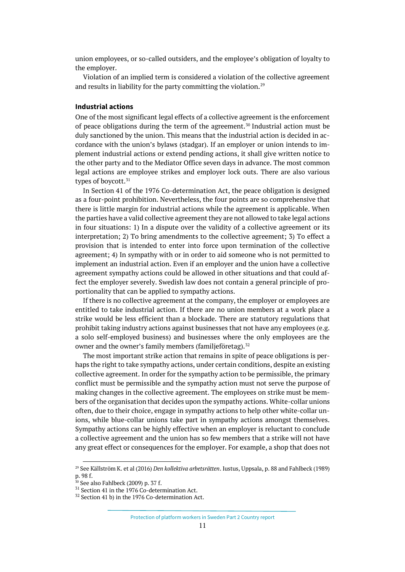union employees, or so-called outsiders, and the employee's obligation of loyalty to the employer.

Violation of an implied term is considered a violation of the collective agreement and results in liability for the party committing the violation.<sup>[29](#page-10-0)</sup>

#### **Industrial actions**

One of the most significant legal effects of a collective agreement is the enforcement of peace obligations during the term of the agreement.<sup>[30](#page-10-1)</sup> Industrial action must be duly sanctioned by the union. This means that the industrial action is decided in accordance with the union's bylaws (stadgar). If an employer or union intends to implement industrial actions or extend pending actions, it shall give written notice to the other party and to the Mediator Office seven days in advance. The most common legal actions are employee strikes and employer lock outs. There are also various types of boycott.<sup>[31](#page-10-2)</sup>

In Section 41 of the 1976 Co-determination Act, the peace obligation is designed as a four-point prohibition. Nevertheless, the four points are so comprehensive that there is little margin for industrial actions while the agreement is applicable. When the parties have a valid collective agreement they are not allowed to take legal actions in four situations: 1) In a dispute over the validity of a collective agreement or its interpretation; 2) To bring amendments to the collective agreement; 3) To effect a provision that is intended to enter into force upon termination of the collective agreement; 4) In sympathy with or in order to aid someone who is not permitted to implement an industrial action. Even if an employer and the union have a collective agreement sympathy actions could be allowed in other situations and that could affect the employer severely. Swedish law does not contain a general principle of proportionality that can be applied to sympathy actions.

If there is no collective agreement at the company, the employer or employees are entitled to take industrial action. If there are no union members at a work place a strike would be less efficient than a blockade. There are statutory regulations that prohibit taking industry actions against businesses that not have any employees (e.g. a solo self-employed business) and businesses where the only employees are the owner and the owner's family members (familjeföretag).<sup>[32](#page-10-3)</sup>

The most important strike action that remains in spite of peace obligations is perhaps the right to take sympathy actions, under certain conditions, despite an existing collective agreement. In order for the sympathy action to be permissible, the primary conflict must be permissible and the sympathy action must not serve the purpose of making changes in the collective agreement. The employees on strike must be members of the organisation that decides upon the sympathy actions. White-collar unions often, due to their choice, engage in sympathy actions to help other white-collar unions, while blue-collar unions take part in sympathy actions amongst themselves. Sympathy actions can be highly effective when an employer is reluctant to conclude a collective agreement and the union has so few members that a strike will not have any great effect or consequences for the employer. For example, a shop that does not

<span id="page-10-0"></span><sup>29</sup> See Källström K. et al (2016) *Den kollektiva arbetsrätten*. Iustus, Uppsala, p. 88 and Fahlbeck (1989) p. 98 f.<br><sup>30</sup> See also Fahlbeck (2009) p. 37 f.

<span id="page-10-3"></span><span id="page-10-2"></span><span id="page-10-1"></span> $^{31}$  Section 41 in the 1976 Co-determination Act.

 $^{32}$  Section 41 b) in the 1976 Co-determination Act.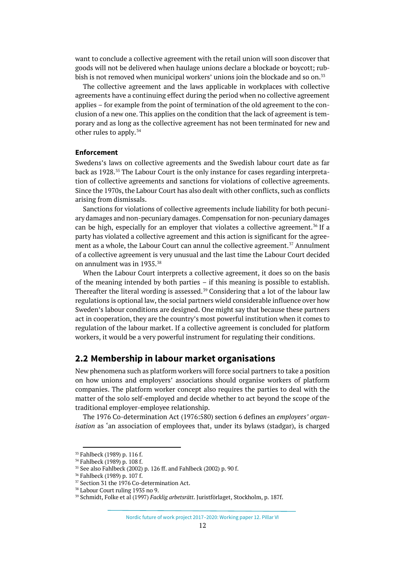want to conclude a collective agreement with the retail union will soon discover that goods will not be delivered when haulage unions declare a blockade or boycott; rub-bish is not removed when municipal workers' unions join the blockade and so on.<sup>[33](#page-11-1)</sup>

The collective agreement and the laws applicable in workplaces with collective agreements have a continuing effect during the period when no collective agreement applies – for example from the point of termination of the old agreement to the conclusion of a new one. This applies on the condition that the lack of agreement is temporary and as long as the collective agreement has not been terminated for new and other rules to apply.[34](#page-11-2)

#### **Enforcement**

Swedens's laws on collective agreements and the Swedish labour court date as far back as 1928. [35](#page-11-3) The Labour Court is the only instance for cases regarding interpretation of collective agreements and sanctions for violations of collective agreements. Since the 1970s, the Labour Court has also dealt with other conflicts, such as conflicts arising from dismissals.

Sanctions for violations of collective agreements include liability for both pecuniary damages and non-pecuniary damages. Compensation for non-pecuniary damages can be high, especially for an employer that violates a collective agreement.<sup>[36](#page-11-4)</sup> If a party has violated a collective agreement and this action is significant for the agree-ment as a whole, the Labour Court can annul the collective agreement.<sup>[37](#page-11-5)</sup> Annulment of a collective agreement is very unusual and the last time the Labour Court decided on annulment was in 1935.[38](#page-11-6)

When the Labour Court interprets a collective agreement, it does so on the basis of the meaning intended by both parties – if this meaning is possible to establish. Thereafter the literal wording is assessed.<sup>[39](#page-11-7)</sup> Considering that a lot of the labour law regulations is optional law, the social partners wield considerable influence over how Sweden's labour conditions are designed. One might say that because these partners act in cooperation, they are the country's most powerful institution when it comes to regulation of the labour market. If a collective agreement is concluded for platform workers, it would be a very powerful instrument for regulating their conditions.

## <span id="page-11-0"></span>**2.2 Membership in labour market organisations**

New phenomena such as platform workers will force social partners to take a position on how unions and employers' associations should organise workers of platform companies. The platform worker concept also requires the parties to deal with the matter of the solo self-employed and decide whether to act beyond the scope of the traditional employer-employee relationship.

The 1976 Co-determination Act (1976:580) section 6 defines an *employees' organisation* as 'an association of employees that, under its bylaws (stadgar), is charged

<span id="page-11-1"></span><sup>&</sup>lt;sup>33</sup> Fahlbeck (1989) p. 116 f.<br><sup>34</sup> Fahlbeck (1989) p. 108 f.

<span id="page-11-2"></span>

<span id="page-11-3"></span><sup>35</sup> See also Fahlbeck (2002) p. 126 ff. and Fahlbeck (2002) p. 90 f.

<span id="page-11-4"></span><sup>36</sup> Fahlbeck (1989) p. 107 f.

<span id="page-11-5"></span><sup>&</sup>lt;sup>37</sup> Section 31 the 1976 Co-determination Act.

<span id="page-11-7"></span><span id="page-11-6"></span><sup>38</sup> Labour Court ruling 1935 no 9.

<sup>39</sup> Schmidt, Folke et al (1997) *Facklig arbetsrätt*. Juristförlaget, Stockholm, p. 187f.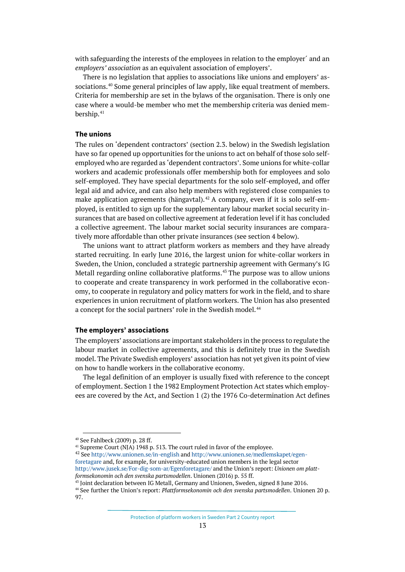with safeguarding the interests of the employees in relation to the employer´ and an *employers' association* as an equivalent association of employers'.

There is no legislation that applies to associations like unions and employers' associations. [40](#page-12-0) Some general principles of law apply, like equal treatment of members. Criteria for membership are set in the bylaws of the organisation. There is only one case where a would-be member who met the membership criteria was denied mem-bership.<sup>[41](#page-12-1)</sup>

#### **The unions**

The rules on 'dependent contractors' (section 2.3. below) in the Swedish legislation have so far opened up opportunities for the unions to act on behalf of those solo selfemployed who are regarded as 'dependent contractors'. Some unions for white-collar workers and academic professionals offer membership both for employees and solo self-employed. They have special departments for the solo self-employed, and offer legal aid and advice, and can also help members with registered close companies to make application agreements (hängavtal). [42](#page-12-2) A company, even if it is solo self-employed, is entitled to sign up for the supplementary labour market social security insurances that are based on collective agreement at federation level if it has concluded a collective agreement. The labour market social security insurances are comparatively more affordable than other private insurances (see section 4 below).

The unions want to attract platform workers as members and they have already started recruiting. In early June 2016, the largest union for white-collar workers in Sweden, the Union, concluded a strategic partnership agreement with Germany's IG Metall regarding online collaborative platforms.<sup>[43](#page-12-3)</sup> The purpose was to allow unions to cooperate and create transparency in work performed in the collaborative economy, to cooperate in regulatory and policy matters for work in the field, and to share experiences in union recruitment of platform workers. The Union has also presented a concept for the social partners' role in the Swedish model.<sup>[44](#page-12-4)</sup>

### **The employers' associations**

The employers' associations are important stakeholders in the process to regulate the labour market in collective agreements, and this is definitely true in the Swedish model. The Private Swedish employers' association has not yet given its point of view on how to handle workers in the collaborative economy.

The legal definition of an employer is usually fixed with reference to the concept of employment. Section 1 the 1982 Employment Protection Act states which employees are covered by the Act, and Section 1 (2) the 1976 Co-determination Act defines

<span id="page-12-2"></span><span id="page-12-1"></span><sup>41</sup> Supreme Court (NJA) 1948 p. 513. The court ruled in favor of the employee.<br><sup>42</sup> Se[e http://www.unionen.se/in-english](http://www.unionen.se/in-english) an[d http://www.unionen.se/medlemskapet/egen](http://www.unionen.se/medlemskapet/egenforetagare)[foretagare](http://www.unionen.se/medlemskapet/egenforetagare) and, for example, for university-educated union members in the legal sector <http://www.jusek.se/For-dig-som-ar/Egenforetagare/> and the Union's report: *Unionen om platt-*

<span id="page-12-0"></span><sup>40</sup> See Fahlbeck (2009) p. 28 ff.

*formsekonomin och den svenska partsmodellen*. Unionen (2016) p. 55 ff.

<span id="page-12-3"></span><sup>43</sup> Joint declaration between IG Metall, Germany and Unionen, Sweden, signed 8 June 2016.

<span id="page-12-4"></span><sup>44</sup> See further the Union's report: *Plattformsekonomin och den svenska partsmodellen*. Unionen 20 p. 97.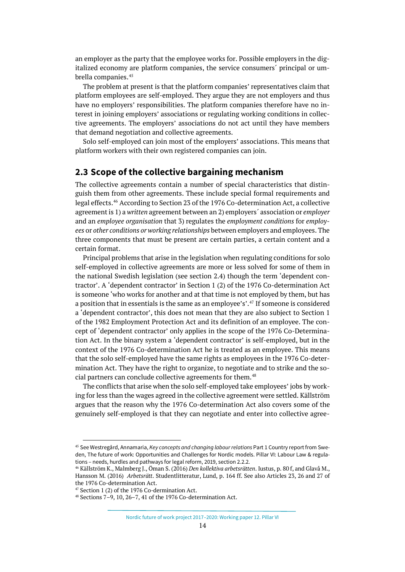an employer as the party that the employee works for. Possible employers in the digitalized economy are platform companies, the service consumers´ principal or um-brella companies.<sup>[45](#page-13-1)</sup>

The problem at present is that the platform companies' representatives claim that platform employees are self-employed. They argue they are not employers and thus have no employers' responsibilities. The platform companies therefore have no interest in joining employers' associations or regulating working conditions in collective agreements. The employers' associations do not act until they have members that demand negotiation and collective agreements.

Solo self-employed can join most of the employers' associations. This means that platform workers with their own registered companies can join.

## <span id="page-13-0"></span>**2.3 Scope of the collective bargaining mechanism**

The collective agreements contain a number of special characteristics that distinguish them from other agreements. These include special formal requirements and legal effects.[46](#page-13-2) According to Section 23 of the 1976 Co-determination Act, a collective agreement is 1) a *written* agreement between an 2) employers´ association or *employer* and an *employee organisation* that 3) regulates the *employment conditions* for *employees* or *other conditions or working relationships* between employers and employees. The three components that must be present are certain parties, a certain content and a certain format.

Principal problems that arise in the legislation when regulating conditions for solo self-employed in collective agreements are more or less solved for some of them in the national Swedish legislation (see section 2.4) though the term 'dependent contractor'. A 'dependent contractor' in Section 1 (2) of the 1976 Co-determination Act is someone 'who works for another and at that time is not employed by them, but has a position that in essentials is the same as an employee's'.[47](#page-13-3) If someone is considered a 'dependent contractor', this does not mean that they are also subject to Section 1 of the 1982 Employment Protection Act and its definition of an employee. The concept of 'dependent contractor' only applies in the scope of the 1976 Co-Determination Act. In the binary system a 'dependent contractor' is self-employed, but in the context of the 1976 Co-determination Act he is treated as an employee. This means that the solo self-employed have the same rights as employees in the 1976 Co-determination Act. They have the right to organize, to negotiate and to strike and the so-cial partners can conclude collective agreements for them.<sup>[48](#page-13-4)</sup>

The conflicts that arise when the solo self-employed take employees' jobs by working for less than the wages agreed in the collective agreement were settled. Källström argues that the reason why the 1976 Co-determination Act also covers some of the genuinely self-employed is that they can negotiate and enter into collective agree-

<span id="page-13-1"></span><sup>45</sup> See Westregård, Annamaria, *Key concepts and changing labour relations* Part 1 Country report from Sweden, The future of work: Opportunities and Challenges for Nordic models. Pillar VI: Labour Law & regulations – needs, hurdles and pathways for legal reform, 2019, section 2.2.2.

<span id="page-13-2"></span><sup>46</sup> Källström K., Malmberg J., Öman S. (2016) *Den kollektiva arbetsrätten*. Iustus, p. 80 f, and Glavå M., Hansson M. (2016) *Arbetsrätt*. Studentlitteratur, Lund, p. 164 ff. See also Articles 23, 26 and 27 of the 1976 Co-determination Act. 47 Section 1 (2) of the 1976 Co-dermination Act.

<span id="page-13-5"></span><span id="page-13-4"></span><span id="page-13-3"></span>

<sup>48</sup> Sections 7–9, 10, 26–7, 41 of the 1976 Co-determination Act.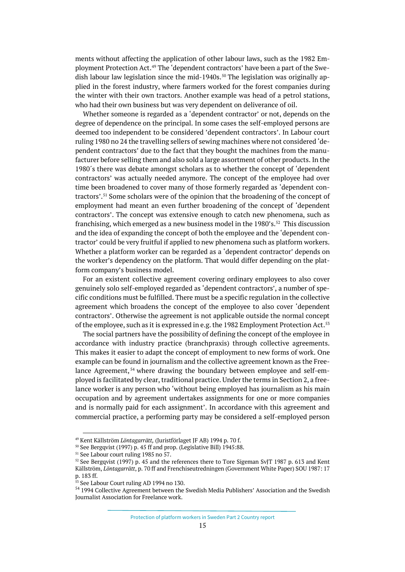ments without affecting the application of other labour laws, such as the 1982 Employment Protection Act.[49](#page-13-5) The 'dependent contractors' have been a part of the Swe-dish labour law legislation since the mid-1940s.<sup>[50](#page-14-0)</sup> The legislation was originally applied in the forest industry, where farmers worked for the forest companies during the winter with their own tractors. Another example was head of a petrol stations, who had their own business but was very dependent on deliverance of oil.

Whether someone is regarded as a 'dependent contractor' or not, depends on the degree of dependence on the principal. In some cases the self-employed persons are deemed too independent to be considered 'dependent contractors'. In Labour court ruling 1980 no 24 the travelling sellers of sewing machines where not considered 'dependent contractors' due to the fact that they bought the machines from the manufacturer before selling them and also sold a large assortment of other products. In the 1980´s there was debate amongst scholars as to whether the concept of 'dependent contractors' was actually needed anymore. The concept of the employee had over time been broadened to cover many of those formerly regarded as 'dependent contractors'[.51](#page-14-1) Some scholars were of the opinion that the broadening of the concept of employment had meant an even further broadening of the concept of 'dependent contractors'. The concept was extensive enough to catch new phenomena, such as franchising, which emerged as a new business model in the 1980's.<sup>[52](#page-14-2)</sup> This discussion and the idea of expanding the concept of both the employee and the 'dependent contractor' could be very fruitful if applied to new phenomena such as platform workers. Whether a platform worker can be regarded as a 'dependent contractor' depends on the worker's dependency on the platform. That would differ depending on the platform company's business model.

For an existent collective agreement covering ordinary employees to also cover genuinely solo self-employed regarded as 'dependent contractors', a number of specific conditions must be fulfilled. There must be a specific regulation in the collective agreement which broadens the concept of the employee to also cover 'dependent contractors'. Otherwise the agreement is not applicable outside the normal concept of the employee, such as it is expressed in e.g. the 1982 Employment Protection Act.<sup>[53](#page-14-3)</sup>

The social partners have the possibility of defining the concept of the employee in accordance with industry practice (branchpraxis) through collective agreements. This makes it easier to adapt the concept of employment to new forms of work. One example can be found in journalism and the collective agreement known as the Free-lance Agreement,<sup>[54](#page-14-4)</sup> where drawing the boundary between employee and self-employed is facilitated by clear, traditional practice. Under the terms in Section 2, a freelance worker is any person who 'without being employed has journalism as his main occupation and by agreement undertakes assignments for one or more companies and is normally paid for each assignment'. In accordance with this agreement and commercial practice, a performing party may be considered a self-employed person

<sup>49</sup> Kent Källström *Löntagarrätt,* (Juristförlaget JF AB) 1994 p. 70 f.

<span id="page-14-1"></span><span id="page-14-0"></span> $50$  See Bergqvist (1997) p. 45 ff and prop. (Legislative Bill) 1945:88.  $51$  See Labour court ruling 1985 no 57.

<span id="page-14-2"></span><sup>&</sup>lt;sup>52</sup> See Bergqvist (1997) p. 45 and the references there to Tore Sigeman SvJT 1987 p. 613 and Kent Källström, *Löntagarrätt*, p. 70 ff and Frenchiseutredningen (Government White Paper) SOU 1987: 17 p. 183 ff.

<sup>53</sup> See Labour Court ruling AD 1994 no 130.

<span id="page-14-4"></span><span id="page-14-3"></span><sup>54</sup> 1994 Collective Agreement between the Swedish Media Publishers' Association and the Swedish Journalist Association for Freelance work.

Protection of platform workers in Sweden Part 2 Country report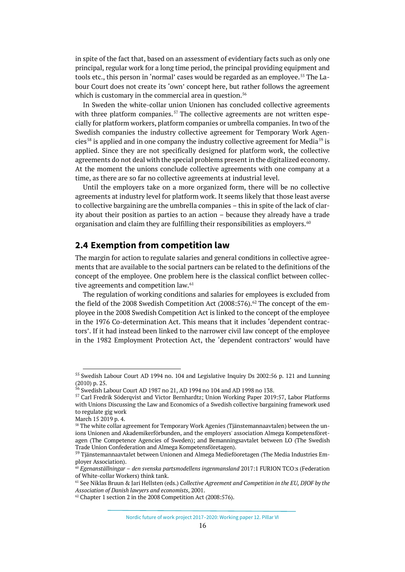in spite of the fact that, based on an assessment of evidentiary facts such as only one principal, regular work for a long time period, the principal providing equipment and tools etc., this person in 'normal' cases would be regarded as an employee.<sup>[55](#page-15-1)</sup> The Labour Court does not create its 'own' concept here, but rather follows the agreement which is customary in the commercial area in question.<sup>[56](#page-15-2)</sup>

In Sweden the white-collar union Unionen has concluded collective agreements with three platform companies.<sup>[57](#page-15-3)</sup> The collective agreements are not written especially for platform workers, platform companies or umbrella companies. In two of the Swedish companies the industry collective agreement for Temporary Work Agen-cies<sup>[58](#page-15-4)</sup> is applied and in one company the industry collective agreement for Media<sup>[59](#page-15-5)</sup> is applied. Since they are not specifically designed for platform work, the collective agreements do not deal with the special problems present in the digitalized economy. At the moment the unions conclude collective agreements with one company at a time, as there are so far no collective agreements at industrial level.

Until the employers take on a more organized form, there will be no collective agreements at industry level for platform work. It seems likely that those least averse to collective bargaining are the umbrella companies – this in spite of the lack of clarity about their position as parties to an action – because they already have a trade organisation and claim they are fulfilling their responsibilities as employers. $60$ 

## <span id="page-15-0"></span>**2.4 Exemption from competition law**

The margin for action to regulate salaries and general conditions in collective agreements that are available to the social partners can be related to the definitions of the concept of the employee. One problem here is the classical conflict between collec-tive agreements and competition law.<sup>[61](#page-15-7)</sup>

The regulation of working conditions and salaries for employees is excluded from the field of the 2008 Swedish Competition Act (2008:576). [62](#page-15-8) The concept of the employee in the 2008 Swedish Competition Act is linked to the concept of the employee in the 1976 Co-determination Act. This means that it includes 'dependent contractors'. If it had instead been linked to the narrower civil law concept of the employee in the 1982 Employment Protection Act, the 'dependent contractors' would have

<span id="page-15-3"></span><span id="page-15-2"></span><span id="page-15-1"></span><sup>55</sup> Swedish Labour Court AD 1994 no. 104 and Legislative Inquiry Ds 2002:56 p. 121 and Lunning (2010) p. 25.

<sup>&</sup>lt;sup>56</sup> Swedish Labour Court AD 1987 no 21, AD 1994 no 104 and AD 1998 no 138.

<span id="page-15-4"></span><sup>57</sup> Carl Fredrik Söderqvist and Victor Bernhardtz; Union Working Paper 2019:57, Labor Platforms with Unions Discussing the Law and Economics of a Swedish collective bargaining framework used to regulate gig work

March 15 2019 p. 4.

<span id="page-15-5"></span><sup>&</sup>lt;sup>58</sup> The white collar agreement for Temporary Work Agenies (Tjänstemannaavtalen) between the unions Unionen and Akademikerförbunden, and the employers' association Almega Kompetensföretagen (The Competence Agencies of Sweden); and Bemanningsavtalet between LO (The Swedish Trade Union Confederation and Almega Kompetensföretagen).

<span id="page-15-7"></span><span id="page-15-6"></span><sup>59</sup> Tjänstemannaavtalet between Unionen and Almega Medieföoretagen (The Media Industries Employer Association).

<span id="page-15-8"></span><sup>60</sup> *Egenanställningar – den svenska partsmodellens ingenmansland* 2017:1 FURION TCO:s (Federation of White-collar Workers) think tank.

<span id="page-15-9"></span><sup>61</sup> See Niklas Bruun & Jari Hellsten (eds.) *Collective Agreement and Competition in the EU, DJOF by the Association of Danish lawyers and economists*, 2001.<br><sup>62</sup> Chapter 1 section 2 in the 2008 Competition Act (2008:576).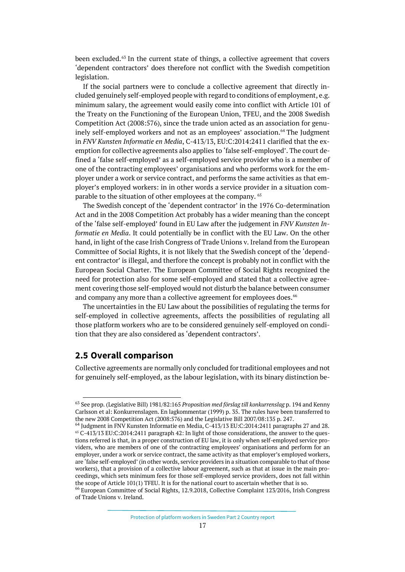been excluded. [63](#page-15-9) In the current state of things, a collective agreement that covers 'dependent contractors' does therefore not conflict with the Swedish competition legislation.

If the social partners were to conclude a collective agreement that directly included genuinely self-employed people with regard to conditions of employment, e.g. minimum salary, the agreement would easily come into conflict with Article 101 of the Treaty on the Functioning of the European Union, TFEU, and the 2008 Swedish Competition Act (2008:576), since the trade union acted as an association for genuinely self-employed workers and not as an employees' association.<sup>64</sup> The Judgment in *FNV Kunsten Informatie en Media*, C-413/13, EU:C:2014:2411 clarified that the exemption for collective agreements also applies to 'false self-employed'. The court defined a 'false self-employed' as a self-employed service provider who is a member of one of the contracting employees' organisations and who performs work for the employer under a work or service contract, and performs the same activities as that employer's employed workers: in in other words a service provider in a situation com-parable to the situation of other employees at the company. <sup>[65](#page-16-2)</sup>

The Swedish concept of the 'dependent contractor' in the 1976 Co-determination Act and in the 2008 Competition Act probably has a wider meaning than the concept of the 'false self-employed' found in EU Law after the judgement in *FNV Kunsten Informatie en Media*. It could potentially be in conflict with the EU Law. On the other hand, in light of the case Irish Congress of Trade Unions v. Ireland from the European Committee of Social Rights, it is not likely that the Swedish concept of the 'dependent contractor' is illegal, and therfore the concept is probably not in conflict with the European Social Charter. The European Committee of Social Rights recognized the need for protection also for some self-employed and stated that a collective agreement covering those self-employed would not disturb the balance between consumer and company any more than a collective agreement for employees does.  $^{66}$  $^{66}$  $^{66}$ 

The uncertainties in the EU Law about the possibilities of regulating the terms for self-employed in collective agreements, affects the possibilities of regulating all those platform workers who are to be considered genuinely self-employed on condition that they are also considered as 'dependent contractors'.

## <span id="page-16-0"></span>**2.5 Overall comparison**

Collective agreements are normally only concluded for traditional employees and not for genuinely self-employed, as the labour legislation, with its binary distinction be-

<sup>63</sup> See prop. (Legislative Bill) 1981/82:165 *Proposition med förslag till konkurrenslag* p. 194 and Kenny Carlsson et al: Konkurrenslagen. En lagkommentar (1999) p. 35. The rules have been transferred to the new 2008 Competition Act (2008:576) and the Legislative Bill 2007/08:135 p. 247.

<span id="page-16-2"></span><span id="page-16-1"></span><sup>64</sup> Judgment in FNV Kunsten Informatie en Media, C-413/13 EU:C:2014:2411 paragraphs 27 and 28. <sup>65</sup> C-413/13 EU:C:2014:2411 paragraph 42: In light of those considerations, the answer to the questions referred is that, in a proper construction of EU law, it is only when self-employed service providers, who are members of one of the contracting employees' organisations and perform for an employer, under a work or service contract, the same activity as that employer's employed workers, are 'false self-employed' (in other words, service providers in a situation comparable to that of those workers), that a provision of a collective labour agreement, such as that at issue in the main proceedings, which sets minimum fees for those self-employed service providers, does not fall within the scope of Article 101(1) TFEU. It is for the national court to ascertain whether that is so.

<span id="page-16-3"></span><sup>66</sup> European Committee of Social Rights, 12.9.2018, Collective Complaint 123/2016, Irish Congress of Trade Unions v. Ireland.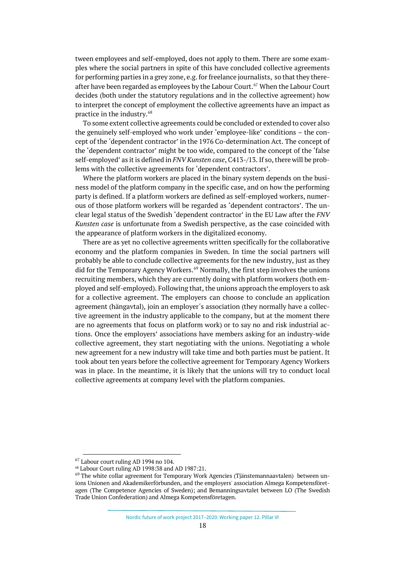tween employees and self-employed, does not apply to them. There are some examples where the social partners in spite of this have concluded collective agreements for performing parties in a grey zone, e.g. for freelance journalists, so that they there-after have been regarded as employees by the Labour Court.<sup>[67](#page-17-0)</sup> When the Labour Court decides (both under the statutory regulations and in the collective agreement) how to interpret the concept of employment the collective agreements have an impact as practice in the industry.[68](#page-17-1)

To some extent collective agreements could be concluded or extended to cover also the genuinely self-employed who work under 'employee-like' conditions – the concept of the 'dependent contractor' in the 1976 Co-determination Act. The concept of the 'dependent contractor' might be too wide, compared to the concept of the 'false self-employed' as it is defined in *FNV Kunsten case*, C413-/13. If so, there will be problems with the collective agreements for 'dependent contractors'.

Where the platform workers are placed in the binary system depends on the business model of the platform company in the specific case, and on how the performing party is defined. If a platform workers are defined as self-employed workers, numerous of those platform workers will be regarded as 'dependent contractors'. The unclear legal status of the Swedish 'dependent contractor' in the EU Law after the *FNV Kunsten case* is unfortunate from a Swedish perspective, as the case coincided with the appearance of platform workers in the digitalized economy.

There are as yet no collective agreements written specifically for the collaborative economy and the platform companies in Sweden. In time the social partners will probably be able to conclude collective agreements for the new industry, just as they did for the Temporary Agency Workers. [69](#page-17-2) Normally, the first step involves the unions recruiting members, which they are currently doing with platform workers (both employed and self-employed). Following that, the unions approach the employers to ask for a collective agreement. The employers can choose to conclude an application agreement (hängavtal), join an employer´s association (they normally have a collective agreement in the industry applicable to the company, but at the moment there are no agreements that focus on platform work) or to say no and risk industrial actions. Once the employers' associations have members asking for an industry-wide collective agreement, they start negotiating with the unions. Negotiating a whole new agreement for a new industry will take time and both parties must be patient. It took about ten years before the collective agreement for Temporary Agency Workers was in place. In the meantime, it is likely that the unions will try to conduct local collective agreements at company level with the platform companies.

<span id="page-17-0"></span><sup>67</sup> Labour court ruling AD 1994 no 104.

<span id="page-17-1"></span><sup>68</sup> Labour Court ruling AD 1998:38 and AD 1987:21.

<span id="page-17-2"></span><sup>69</sup> The white collar agreement for Temporary Work Agencies (Tjänstemannaavtalen) between unions Unionen and Akademikerförbunden, and the employers' association Almega Kompetensföretagen (The Competence Agencies of Sweden); and Bemanningsavtalet between LO (The Swedish Trade Union Confederation) and Almega Kompetensföretagen.

Nordic future of work project 2017–2020: Working paper 12. Pillar VI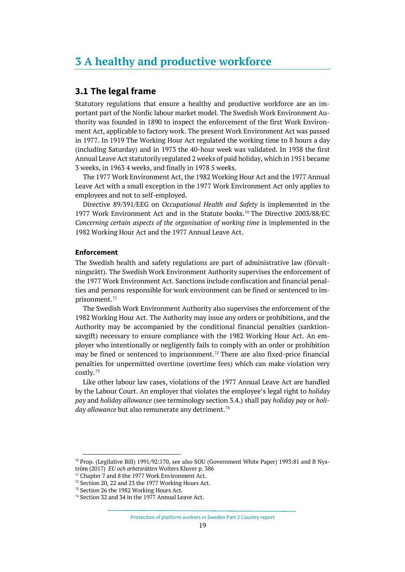## <span id="page-18-0"></span>**3 A healthy and productive workforce**

## <span id="page-18-1"></span>**3.1 The legal frame**

Statutory regulations that ensure a healthy and productive workforce are an important part of the Nordic labour market model. The Swedish Work Environment Authority was founded in 1890 to inspect the enforcement of the first Work Environment Act, applicable to factory work. The present Work Environment Act was passed in 1977. In 1919 The Working Hour Act regulated the working time to 8 hours a day (including Saturday) and in 1973 the 40-hour week was validated. In 1938 the first Annual Leave Act statutorily regulated 2 weeks of paid holiday, which in 1951 became 3 weeks, in 1963 4 weeks, and finally in 1978 5 weeks.

The 1977 Work Environment Act, the 1982 Working Hour Act and the 1977 Annual Leave Act with a small exception in the 1977 Work Environment Act only applies to employees and not to self-employed.

Directive 89/391/EEG on *Occupational Health and Safety* is implemented in the 1977 Work Environment Act and in the Statute books.[70](#page-18-2) The Directive 2003/88/EC *Concerning certain aspects of the organisation of working time* is implemented in the 1982 Working Hour Act and the 1977 Annual Leave Act.

### **Enforcement**

The Swedish health and safety regulations are part of administrative law (förvaltningsrätt). The Swedish Work Environment Authority supervises the enforcement of the 1977 Work Environment Act. Sanctions include confiscation and financial penalties and persons responsible for work environment can be fined or sentenced to im-prisonment.<sup>[71](#page-18-3)</sup>

The Swedish Work Environment Authority also supervises the enforcement of the 1982 Working Hour Act. The Authority may issue any orders or prohibitions, and the Authority may be accompanied by the conditional financial penalties (sanktionsavgift) necessary to ensure compliance with the 1982 Working Hour Act. An employer who intentionally or negligently fails to comply with an order or prohibition may be fined or sentenced to imprisonment.<sup>[72](#page-18-4)</sup> There are also fixed-price financial penalties for unpermitted overtime (overtime fees) which can make violation very costly.[73](#page-18-5)

Like other labour law cases, violations of the 1977 Annual Leave Act are handled by the Labour Court. An employer that violates the employee's legal right to *holiday pay* and *holiday allowance* (see terminology section 3.4.) shall pay *holiday pay* or *holiday allowance* but also remunerate any detriment.<sup>[74](#page-18-6)</sup>

<span id="page-18-2"></span><sup>70</sup> Prop. (Legilative Bill) 1991/92:170, see also SOU (Government White Paper) 1993:81 and B Nyström (2017) *EU och arbetsrätten* Wolters Kluver p. 386

<span id="page-18-3"></span><sup>&</sup>lt;sup>71</sup> Chapter 7 and 8 the 1977 Work Environment Act.

<span id="page-18-4"></span><sup>72</sup> Section 20, 22 and 23 the 1977 Working Hours Act.

<span id="page-18-5"></span><sup>73</sup> Section 26 the 1982 Working Hours Act.

<span id="page-18-6"></span><sup>74</sup> Section 32 and 34 in the 1977 Annual Leave Act.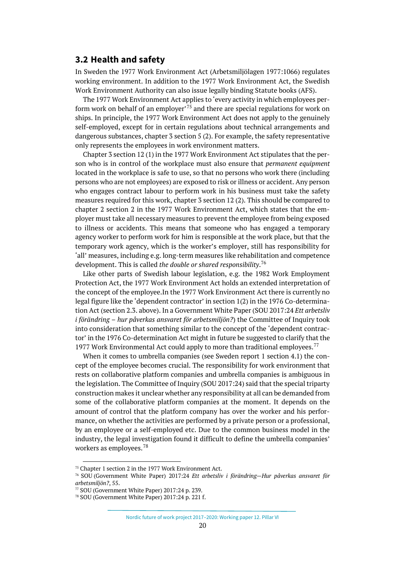## <span id="page-19-0"></span>**3.2 Health and safety**

In Sweden the 1977 Work Environment Act (Arbetsmiljölagen 1977:1066) regulates working environment. In addition to the 1977 Work Environment Act, the Swedish Work Environment Authority can also issue legally binding Statute books (AFS).

The 1977 Work Environment Act applies to 'every activity in which employees per-form work on behalf of an employer<sup>, [75](#page-19-1)</sup> and there are special regulations for work on ships. In principle, the 1977 Work Environment Act does not apply to the genuinely self-employed, except for in certain regulations about technical arrangements and dangerous substances, chapter 3 section 5 (2). For example, the safety representative only represents the employees in work environment matters.

Chapter 3 section 12 (1) in the 1977 Work Environment Act stipulates that the person who is in control of the workplace must also ensure that *permanent equipment* located in the workplace is safe to use, so that no persons who work there (including persons who are not employees) are exposed to risk or illness or accident. Any person who engages contract labour to perform work in his business must take the safety measures required for this work, chapter 3 section 12 (2). This should be compared to chapter 2 section 2 in the 1977 Work Environment Act, which states that the employer must take all necessary measures to prevent the employee from being exposed to illness or accidents. This means that someone who has engaged a temporary agency worker to perform work for him is responsible at the work place, but that the temporary work agency, which is the worker's employer, still has responsibility for 'all' measures, including e.g. long-term measures like rehabilitation and competence development. This is called *the double or shared responsibility*. [76](#page-19-2)

Like other parts of Swedish labour legislation, e.g. the 1982 Work Employment Protection Act, the 1977 Work Environment Act holds an extended interpretation of the concept of the employee.In the 1977 Work Environment Act there is currently no legal figure like the 'dependent contractor' in section 1(2) in the 1976 Co-determination Act (section 2.3. above). In a Government White Paper (SOU 2017:24 *Ett arbetsliv i förändring – hur påverkas ansvaret för arbetsmiljön?*) the Committee of Inquiry took into consideration that something similar to the concept of the 'dependent contractor' in the 1976 Co-determination Act might in future be suggested to clarify that the 19[77](#page-19-3) Work Environmental Act could apply to more than traditional employees.<sup>77</sup>

When it comes to umbrella companies (see Sweden report 1 section 4.1) the concept of the employee becomes crucial. The responsibility for work environment that rests on collaborative platform companies and umbrella companies is ambiguous in the legislation. The Committee of Inquiry (SOU 2017:24) said that the special triparty construction makes it unclear whether any responsibility at all can be demanded from some of the collaborative platform companies at the moment. It depends on the amount of control that the platform company has over the worker and his performance, on whether the activities are performed by a private person or a professional, by an employee or a self-employed etc. Due to the common business model in the industry, the legal investigation found it difficult to define the umbrella companies' workers as employees.<sup>[78](#page-19-4)</sup>

<sup>75</sup> Chapter 1 section 2 in the 1977 Work Environment Act.

<span id="page-19-2"></span><span id="page-19-1"></span><sup>76</sup> SOU (Government White Paper) 2017:24 *Ett arbetsliv i förändring—Hur påverkas ansvaret för arbetsmiljön?*, 55.

<sup>77</sup> SOU (Government White Paper) 2017:24 p. 239.

<span id="page-19-4"></span><span id="page-19-3"></span><sup>78</sup> SOU (Government White Paper) 2017:24 p. 221 f.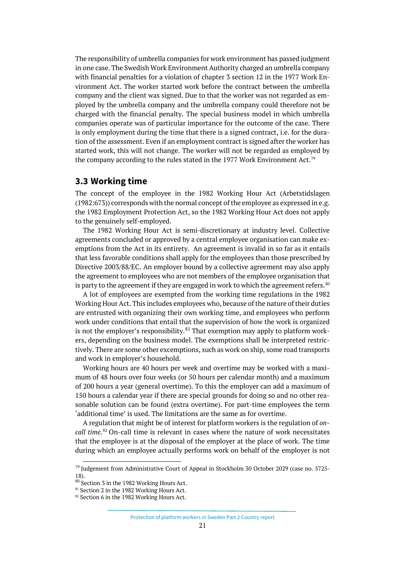The responsibility of umbrella companies for work environment has passed judgment in one case. The Swedish Work Environment Authority charged an umbrella company with financial penalties for a violation of chapter 3 section 12 in the 1977 Work Environment Act. The worker started work before the contract between the umbrella company and the client was signed. Due to that the worker was not regarded as employed by the umbrella company and the umbrella company could therefore not be charged with the financial penalty. The special business model in which umbrella companies operate was of particular importance for the outcome of the case. There is only employment during the time that there is a signed contract, i.e. for the duration of the assessment. Even if an employment contract is signed after the worker has started work, this will not change. The worker will not be regarded as employed by the company according to the rules stated in the 1977 Work Environment Act.<sup>[79](#page-20-1)</sup>

## <span id="page-20-0"></span>**3.3 Working time**

The concept of the employee in the 1982 Working Hour Act (Arbetstidslagen (1982:673)) corresponds with the normal concept of the employee as expressed in e.g. the 1982 Employment Protection Act, so the 1982 Working Hour Act does not apply to the genuinely self-employed.

The 1982 Working Hour Act is semi-discretionary at industry level. Collective agreements concluded or approved by a central employee organisation can make exemptions from the Act in its entirety. An agreement is invalid in so far as it entails that less favorable conditions shall apply for the employees than those prescribed by Directive 2003/88/EC. An employer bound by a collective agreement may also apply the agreement to employees who are not members of the employee organisation that is party to the agreement if they are engaged in work to which the agreement refers.  $^{\text{so}}$ 

A lot of employees are exempted from the working time regulations in the 1982 Working Hour Act. This includes employees who, because of the nature of their duties are entrusted with organizing their own working time, and employees who perform work under conditions that entail that the supervision of how the work is organized is not the employer's responsibility. $81$  That exemption may apply to platform workers, depending on the business model. The exemptions shall be interpreted restrictively. There are some other excemptions, such as work on ship, some road transports and work in employer's household.

Working hours are 40 hours per week and overtime may be worked with a maximum of 48 hours over four weeks (or 50 hours per calendar month) and a maximum of 200 hours a year (general overtime). To this the employer can add a maximum of 150 hours a calendar year if there are special grounds for doing so and no other reasonable solution can be found (extra overtime). For part-time employees the term 'additional time' is used. The limitations are the same as for overtime.

A regulation that might be of interest for platform workers is the regulation of *oncall time.* [82](#page-20-4) On-call time is relevant in cases where the nature of work necessitates that the employee is at the disposal of the employer at the place of work. The time during which an employee actually performs work on behalf of the employer is not

Protection of platform workers in Sweden Part 2 Country report

<span id="page-20-1"></span><sup>&</sup>lt;sup>79</sup> Judgement from Administrative Court of Appeal in Stockholm 30 October 2029 (case no. 5725-18).

<span id="page-20-2"></span><sup>80</sup> Section 3 in the 1982 Working Hours Act.

<span id="page-20-3"></span><sup>81</sup> Section 2 in the 1982 Working Hours Act.

<span id="page-20-4"></span><sup>82</sup> Section 6 in the 1982 Working Hours Act.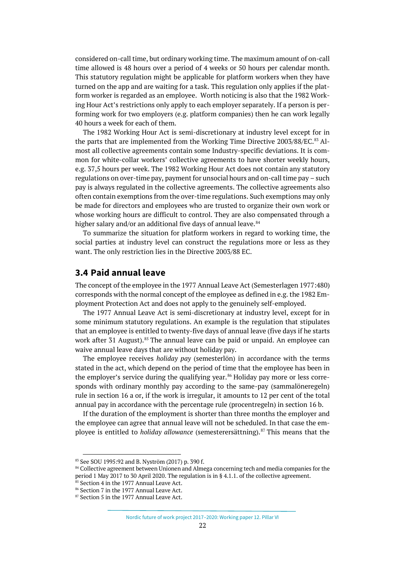considered on-call time, but ordinary working time. The maximum amount of on-call time allowed is 48 hours over a period of 4 weeks or 50 hours per calendar month. This statutory regulation might be applicable for platform workers when they have turned on the app and are waiting for a task. This regulation only applies if the platform worker is regarded as an employee. Worth noticing is also that the 1982 Working Hour Act's restrictions only apply to each employer separately. If a person is performing work for two employers (e.g. platform companies) then he can work legally 40 hours a week for each of them.

The 1982 Working Hour Act is semi-discretionary at industry level except for in the parts that are implemented from the Working Time Directive 2003/88/EC.<sup>[83](#page-21-1)</sup> Almost all collective agreements contain some Industry-specific deviations. It is common for white-collar workers' collective agreements to have shorter weekly hours, e.g. 37,5 hours per week. The 1982 Working Hour Act does not contain any statutory regulations on over-time pay, payment for unsocial hours and on-call time pay – such pay is always regulated in the collective agreements. The collective agreements also often contain exemptions from the over-time regulations. Such exemptions may only be made for directors and employees who are trusted to organize their own work or whose working hours are difficult to control. They are also compensated through a higher salary and/or an additional five days of annual leave.<sup>[84](#page-21-2)</sup>

To summarize the situation for platform workers in regard to working time, the social parties at industry level can construct the regulations more or less as they want. The only restriction lies in the Directive 2003/88 EC.

## <span id="page-21-0"></span>**3.4 Paid annual leave**

The concept of the employee in the 1977 Annual Leave Act (Semesterlagen 1977:480) corresponds with the normal concept of the employee as defined in e.g. the 1982 Employment Protection Act and does not apply to the genuinely self-employed.

The 1977 Annual Leave Act is semi-discretionary at industry level, except for in some minimum statutory regulations. An example is the regulation that stipulates that an employee is entitled to twenty-five days of annual leave (five days if he starts work after 31 August).<sup>[85](#page-21-3)</sup> The annual leave can be paid or unpaid. An employee can waive annual leave days that are without holiday pay.

The employee receives *holiday pay* (semesterlön) in accordance with the terms stated in the act, which depend on the period of time that the employee has been in the employer's service during the qualifying year. [86](#page-21-4) Holiday pay more or less corresponds with ordinary monthly pay according to the same-pay (sammalöneregeln) rule in section 16 a or, if the work is irregular, it amounts to 12 per cent of the total annual pay in accordance with the percentage rule (procentregeln) in section 16 b.

If the duration of the employment is shorter than three months the employer and the employee can agree that annual leave will not be scheduled. In that case the employee is entitled to *holiday allowance* (semesterersättning).<sup>[87](#page-21-5)</sup> This means that the

<span id="page-21-1"></span><sup>83</sup> See SOU 1995:92 and B. Nyström (2017) p. 390 f.

<span id="page-21-2"></span><sup>84</sup> Collective agreement between Unionen and Almega concerning tech and media companies for the period 1 May 2017 to 30 April 2020. The regulation is in § 4.1.1. of the collective agreement.

<span id="page-21-3"></span><sup>85</sup> Section 4 in the 1977 Annual Leave Act.

<span id="page-21-5"></span><span id="page-21-4"></span><sup>86</sup> Section 7 in the 1977 Annual Leave Act. 87 Section 5 in the 1977 Annual Leave Act.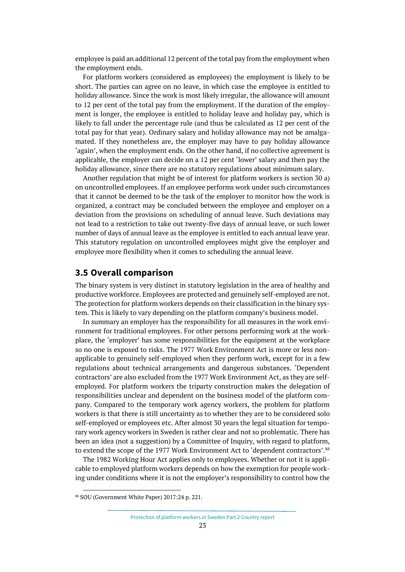employee is paid an additional 12 percent of the total pay from the employment when the employment ends.

For platform workers (considered as employees) the employment is likely to be short. The parties can agree on no leave, in which case the employee is entitled to holiday allowance. Since the work is most likely irregular, the allowance will amount to 12 per cent of the total pay from the employment. If the duration of the employment is longer, the employee is entitled to holiday leave and holiday pay, which is likely to fall under the percentage rule (and thus be calculated as 12 per cent of the total pay for that year). Ordinary salary and holiday allowance may not be amalgamated. If they nonetheless are, the employer may have to pay holiday allowance 'again', when the employment ends. On the other hand, if no collective agreement is applicable, the employer can decide on a 12 per cent 'lower' salary and then pay the holiday allowance, since there are no statutory regulations about minimum salary.

Another regulation that might be of interest for platform workers is section 30 a) on uncontrolled employees. If an employee performs work under such circumstances that it cannot be deemed to be the task of the employer to monitor how the work is organized, a contract may be concluded between the employee and employer on a deviation from the provisions on scheduling of annual leave. Such deviations may not lead to a restriction to take out twenty-five days of annual leave, or such lower number of days of annual leave as the employee is entitled to each annual leave year. This statutory regulation on uncontrolled employees might give the employer and employee more flexibility when it comes to scheduling the annual leave.

## <span id="page-22-0"></span>**3.5 Overall comparison**

The binary system is very distinct in statutory legislation in the area of healthy and productive workforce. Employees are protected and genuinely self-employed are not. The protection for platform workers depends on their classification in the binary system. This is likely to vary depending on the platform company's business model.

In summary an employer has the responsibility for all measures in the work environment for traditional employees. For other persons performing work at the workplace, the 'employer' has some responsibilities for the equipment at the workplace so no one is exposed to risks. The 1977 Work Environment Act is more or less nonapplicable to genuinely self-employed when they perform work, except for in a few regulations about technical arrangements and dangerous substances. 'Dependent contractors' are also excluded from the 1977 Work Environment Act, as they are selfemployed. For platform workers the triparty construction makes the delegation of responsibilities unclear and dependent on the business model of the platform company. Compared to the temporary work agency workers, the problem for platform workers is that there is still uncertainty as to whether they are to be considered solo self-employed or employees etc. After almost 30 years the legal situation for temporary work agency workers in Sweden is rather clear and not so problematic. There has been an idea (not a suggestion) by a Committee of Inquiry, with regard to platform, to extend the scope of the 1977 Work Environment Act to 'dependent contractors'.<sup>[88](#page-22-1)</sup>

The 1982 Working Hour Act applies only to employees. Whether or not it is applicable to employed platform workers depends on how the exemption for people working under conditions where it is not the employer's responsibility to control how the

<span id="page-22-1"></span><sup>88</sup> SOU (Government White Paper) 2017:24 p. 221.

Protection of platform workers in Sweden Part 2 Country report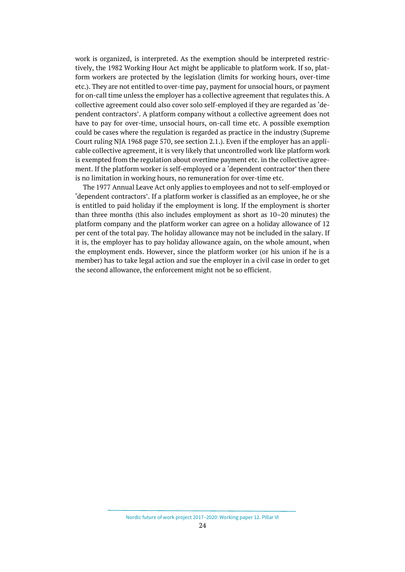work is organized, is interpreted. As the exemption should be interpreted restrictively, the 1982 Working Hour Act might be applicable to platform work. If so, platform workers are protected by the legislation (limits for working hours, over-time etc.). They are not entitled to over-time pay, payment for unsocial hours, or payment for on-call time unless the employer has a collective agreement that regulates this. A collective agreement could also cover solo self-employed if they are regarded as 'dependent contractors'. A platform company without a collective agreement does not have to pay for over-time, unsocial hours, on-call time etc. A possible exemption could be cases where the regulation is regarded as practice in the industry (Supreme Court ruling NJA 1968 page 570, see section 2.1.). Even if the employer has an applicable collective agreement, it is very likely that uncontrolled work like platform work is exempted from the regulation about overtime payment etc. in the collective agreement. If the platform worker is self-employed or a 'dependent contractor' then there is no limitation in working hours, no remuneration for over-time etc.

The 1977 Annual Leave Act only applies to employees and not to self-employed or 'dependent contractors'. If a platform worker is classified as an employee, he or she is entitled to paid holiday if the employment is long. If the employment is shorter than three months (this also includes employment as short as 10–20 minutes) the platform company and the platform worker can agree on a holiday allowance of 12 per cent of the total pay. The holiday allowance may not be included in the salary. If it is, the employer has to pay holiday allowance again, on the whole amount, when the employment ends. However, since the platform worker (or his union if he is a member) has to take legal action and sue the employer in a civil case in order to get the second allowance, the enforcement might not be so efficient.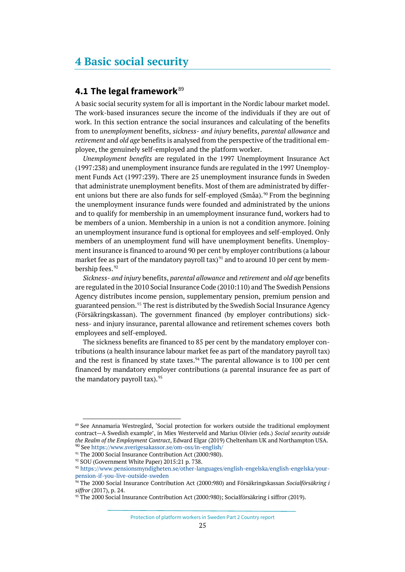## <span id="page-24-0"></span>**4 Basic social security**

## <span id="page-24-1"></span>**4.1 The legal framework**[89](#page-24-2)

A basic social security system for all is important in the Nordic labour market model. The work-based insurances secure the income of the individuals if they are out of work. In this section entrance the social insurances and calculating of the benefits from to *unemployment* benefits, *sickness- and injury* benefits, *parental allowance* and *retirement* and *old age* benefits is analysed from the perspective of the traditional employee, the genuinely self-employed and the platform worker.

*Unemployment benefits* are regulated in the 1997 Unemployment Insurance Act (1997:238) and unemployment insurance funds are regulated in the 1997 Unemployment Funds Act (1997:239). There are 25 unemployment insurance funds in Sweden that administrate unemployment benefits. Most of them are administrated by differ-ent unions but there are also funds for self-employed (Småa).<sup>[90](#page-24-3)</sup> From the beginning the unemployment insurance funds were founded and administrated by the unions and to qualify for membership in an umemployment insurance fund, workers had to be members of a union. Membership in a union is not a condition anymore. Joining an unemployment insurance fund is optional for employees and self-employed. Only members of an unemployment fund will have unemployment benefits. Unemployment insurance is financed to around 90 per cent by employer contributions (a labour market fee as part of the mandatory payroll tax)<sup>[91](#page-24-4)</sup> and to around 10 per cent by mem-bership fees.<sup>[92](#page-24-5)</sup>

*Sickness- and injury* benefits, *parental allowance* and *retirement* and *old age* benefits are regulated in the 2010 Social Insurance Code (2010:110) and The Swedish Pensions Agency distributes income pension, supplementary pension, premium pension and guaranteed pension. [93](#page-24-6) The rest is distributed by the Swedish Social Insurance Agency (Försäkringskassan). The government financed (by employer contributions) sickness- and injury insurance, parental allowance and retirement schemes covers both employees and self-employed.

The sickness benefits are financed to 85 per cent by the mandatory employer contributions (a health insurance labour market fee as part of the mandatory payroll tax) and the rest is financed by state taxes. $94$  The parental allowance is to 100 per cent financed by mandatory employer contributions (a parental insurance fee as part of the mandatory payroll tax).<sup>[95](#page-24-8)</sup>

Protection of platform workers in Sweden Part 2 Country report

<span id="page-24-2"></span><sup>89</sup> See Annamaria Westregård, 'Social protection for workers outside the traditional employment contract—A Swedish example', in Mies Westerveld and Marius Olivier (eds.) *Social security outside the Realm of the Employment Contract*, Edward Elgar (2019) Cheltenham UK and Northampton USA. <sup>90</sup> Se[e https://www.sverigesakassor.se/om-oss/in-english/](https://www.sverigesakassor.se/om-oss/in-english/)

<span id="page-24-4"></span><span id="page-24-3"></span><sup>&</sup>lt;sup>91</sup> The 2000 Social Insurance Contribution Act (2000:980).

<sup>&</sup>lt;sup>92</sup> SOU (Government White Paper) 2015:21 p. 738.

<span id="page-24-6"></span><span id="page-24-5"></span><sup>93</sup> [https://www.pensionsmyndigheten.se/other-languages/english-engelska/english-engelska/your](https://www.pensionsmyndigheten.se/other-languages/english-engelska/english-engelska/your-pension-if-you-live-outside-sweden)[pension-if-you-live-outside-sweden](https://www.pensionsmyndigheten.se/other-languages/english-engelska/english-engelska/your-pension-if-you-live-outside-sweden)

<span id="page-24-7"></span><sup>94</sup> The 2000 Social Insurance Contribution Act (2000:980) and Försäkringskassan *Socialförsäkring i siffror* (2017), p. 24.<br><sup>95</sup> The 2000 Social Insurance Contribution Act (2000:980); Socialförsäkring i siffror (2019).

<span id="page-24-8"></span>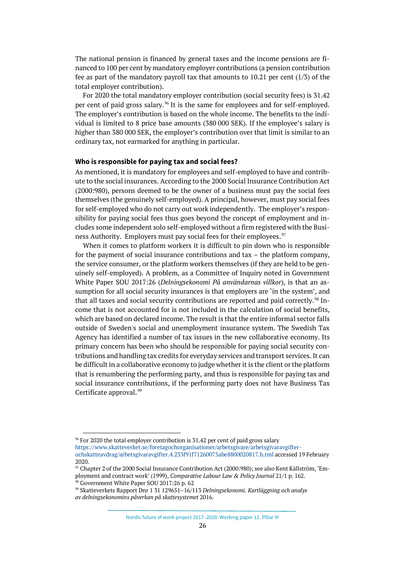The national pension is financed by general taxes and the income pensions are financed to 100 per cent by mandatory employer contributions (a pension contribution fee as part of the mandatory payroll tax that amounts to 10.21 per cent (1/3) of the total employer contribution).

For 2020 the total mandatory employer contribution (social security fees) is 31.42 per cent of paid gross salary. [96](#page-25-0) It is the same for employees and for self-employed. The employer's contribution is based on the whole income. The benefits to the individual is limited to 8 price base amounts (380 000 SEK). If the employee's salary is higher than 380 000 SEK, the employer's contribution over that limit is similar to an ordinary tax, not earmarked for anything in particular.

#### **Who is responsible for paying tax and social fees?**

As mentioned, it is mandatory for employees and self-employed to have and contribute to the social insurances. According to the 2000 Social Insurance Contribution Act (2000:980), persons deemed to be the owner of a business must pay the social fees themselves (the genuinely self-employed). A principal, however, must pay social fees for self-employed who do not carry out work independently. The employer's responsibility for paying social fees thus goes beyond the concept of employment and includes some independent solo self-employed without a firm registered with the Busi-ness Authority. Employers must pay social fees for their employees.<sup>[97](#page-25-1)</sup>

When it comes to platform workers it is difficult to pin down who is responsible for the payment of social insurance contributions and tax – the platform company, the service consumer, or the platform workers themselves (if they are held to be genuinely self-employed). A problem, as a Committee of Inquiry noted in Government White Paper SOU 2017:26 (*Delningsekonomi På användarnas villkor*), is that an assumption for all social security insurances is that employers are 'in the system', and that all taxes and social security contributions are reported and paid correctly.<sup>[98](#page-25-2)</sup> Income that is not accounted for is not included in the calculation of social benefits, which are based on declared income. The result is that the entire informal sector falls outside of Sweden's social and unemployment insurance system. The Swedish Tax Agency has identified a number of tax issues in the new collaborative economy. Its primary concern has been who should be responsible for paying social security contributions and handling tax credits for everyday services and transport services. It can be difficult in a collaborative economy to judge whether it is the client or the platform that is renumbering the performing party, and thus is responsible for paying tax and social insurance contributions, if the performing party does not have Business Tax Certificate approval. [99](#page-25-3)

[https://www.skatteverket.se/foretagochorganisationer/arbetsgivare/arbetsgivaravgifter](https://www.skatteverket.se/foretagochorganisationer/arbetsgivare/arbetsgivaravgifterochskatteavdrag/arbetsgivaravgifter.4.233f91f71260075abe8800020817.h.tml)[ochskatteavdrag/arbetsgivaravgifter.4.233f91f71260075abe8800020817.h.tml](https://www.skatteverket.se/foretagochorganisationer/arbetsgivare/arbetsgivaravgifterochskatteavdrag/arbetsgivaravgifter.4.233f91f71260075abe8800020817.h.tml) accessed 19 February 2020.

<span id="page-25-0"></span><sup>&</sup>lt;sup>96</sup> For 2020 the total employer contribution is 31.42 per cent of paid gross salary

<span id="page-25-1"></span><sup>97</sup> Chapter 2 of the 2000 Social Insurance Contribution Act (2000:980); see also Kent Källström, 'Employment and contract work' (1999), *Comparative Labour Law & Policy Journal* 21/1 p. 162.

<span id="page-25-2"></span><sup>98</sup> Government White Paper SOU 2017:26 p. 62

<span id="page-25-3"></span><sup>99</sup> Skatteverkets Rapport Dnr 1 31 129651–16/113 *Delningsekonomi. Kartläggning och analys av delningsekonomins påverkan på skattesystemet* 2016.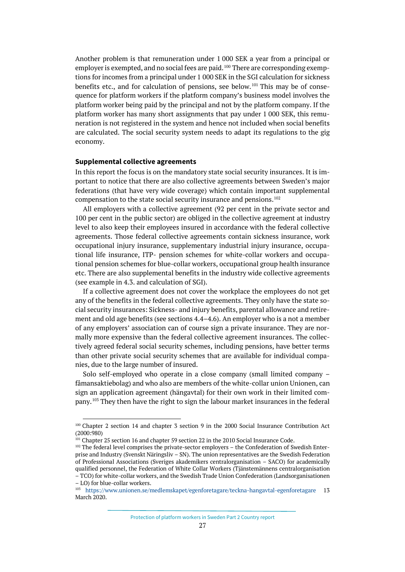Another problem is that remuneration under 1 000 SEK a year from a principal or employer is exempted, and no social fees are paid.<sup>[100](#page-26-0)</sup> There are corresponding exemptions for incomes from a principal under 1 000 SEK in the SGI calculation for sickness benefits etc., and for calculation of pensions, see below.<sup>[101](#page-26-1)</sup> This may be of consequence for platform workers if the platform company's business model involves the platform worker being paid by the principal and not by the platform company. If the platform worker has many short assignments that pay under 1 000 SEK, this remuneration is not registered in the system and hence not included when social benefits are calculated. The social security system needs to adapt its regulations to the gig economy.

#### **Supplemental collective agreements**

In this report the focus is on the mandatory state social security insurances. It is important to notice that there are also collective agreements between Sweden's major federations (that have very wide coverage) which contain important supplemental compensation to the state social security insurance and pensions. [102](#page-26-2)

All employers with a collective agreement (92 per cent in the private sector and 100 per cent in the public sector) are obliged in the collective agreement at industry level to also keep their employees insured in accordance with the federal collective agreements. Those federal collective agreements contain sickness insurance, work occupational injury insurance, supplementary industrial injury insurance, occupational life insurance, ITP- pension schemes for white-collar workers and occupational pension schemes for blue-collar workers, occupational group health insurance etc. There are also supplemental benefits in the industry wide collective agreements (see example in 4.3. and calculation of SGI).

If a collective agreement does not cover the workplace the employees do not get any of the benefits in the federal collective agreements. They only have the state social security insurances: Sickness- and injury benefits, parental allowance and retirement and old age benefits (see sections 4.4–4.6). An employer who is a not a member of any employers' association can of course sign a private insurance. They are normally more expensive than the federal collective agreement insurances. The collectively agreed federal social security schemes, including pensions, have better terms than other private social security schemes that are available for individual companies, due to the large number of insured.

Solo self-employed who operate in a close company (small limited company – fåmansaktiebolag) and who also are members of the white-collar union Unionen, can sign an application agreement (hängavtal) for their own work in their limited company.[103](#page-26-3) They then have the right to sign the labour market insurances in the federal

<span id="page-26-0"></span><sup>100</sup> Chapter 2 section 14 and chapter 3 section 9 in the 2000 Social Insurance Contribution Act (2000:980)

<sup>&</sup>lt;sup>101</sup> Chapter 25 section 16 and chapter 59 section 22 in the 2010 Social Insurance Code.

<span id="page-26-2"></span><span id="page-26-1"></span><sup>&</sup>lt;sup>102</sup> The federal level comprises the private-sector employers - the Confederation of Swedish Enterprise and Industry (Svenskt Näringsliv – SN). The union representatives are the Swedish Federation of Professional Associations (Sveriges akademikers centralorganisation – SACO) for academically qualified personnel, the Federation of White Collar Workers (Tjänstemännens centralorganisation – TCO) for white-collar workers, and the Swedish Trade Union Confederation (Landsorganisationen

<span id="page-26-3"></span><sup>–</sup> LO) for blue-collar workers.<br><sup>103</sup> <https://www.unionen.se/medlemskapet/egenforetagare/teckna-hangavtal-egenforetagare> 13 March 2020.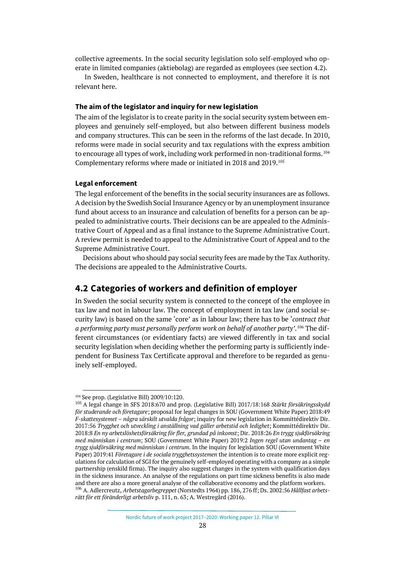collective agreements. In the social security legislation solo self-employed who operate in limited companies (aktiebolag) are regarded as employees (see section 4.2).

In Sweden, healthcare is not connected to employment, and therefore it is not relevant here.

#### **The aim of the legislator and inquiry for new legislation**

The aim of the legislator is to create parity in the social security system between employees and genuinely self-employed, but also between different business models and company structures. This can be seen in the reforms of the last decade. In 2010, reforms were made in social security and tax regulations with the express ambition to encourage all types of work, including work performed in non-traditional forms.  $^{\rm 104}$  $^{\rm 104}$  $^{\rm 104}$ Complementary reforms where made or initiated in 2018 and 2019.[105](#page-27-2)

#### **Legal enforcement**

The legal enforcement of the benefits in the social security insurances are as follows. A decision by the Swedish Social Insurance Agency or by an unemployment insurance fund about access to an insurance and calculation of benefits for a person can be appealed to administrative courts. Their decisions can be are appealed to the Administrative Court of Appeal and as a final instance to the Supreme Administrative Court. A review permit is needed to appeal to the Administrative Court of Appeal and to the Supreme Administrative Court.

Decisions about who should pay social security fees are made by the Tax Authority. The decisions are appealed to the Administrative Courts.

### <span id="page-27-0"></span>**4.2 Categories of workers and definition of employer**

In Sweden the social security system is connected to the concept of the employee in tax law and not in labour law. The concept of employment in tax law (and social security law) is based on the same 'core' as in labour law; there has to be '*contract that*  a performing party must personally perform work on behalf of another party'.<sup>[106](#page-27-3)</sup> The different circumstances (or evidentiary facts) are viewed differently in tax and social security legislation when deciding whether the performing party is sufficiently independent for Business Tax Certificate approval and therefore to be regarded as genuinely self-employed.

<sup>104</sup> See prop. (Legislative Bill) 2009/10:120.

<span id="page-27-3"></span><span id="page-27-2"></span><span id="page-27-1"></span><sup>105</sup> A legal change in SFS 2018:670 and prop. (Legislative Bill) 2017/18:168 *Stärkt försäkringsskydd för studerande och företagare*; proposal for legal changes in SOU (Government White Paper) 2018:49 *F-skattesystemet – några särskilt utvalda frågor*; inquiry for new legislation in Kommittédirektiv Dir. 2017:56 *Trygghet och utveckling i anställning vad gäller arbetstid och ledighet*; Kommittédirektiv Dir. 2018:8 *En ny arbetslöshetsförsäkring för fler, grundad på inkomst*; Dir. 2018:26 *En trygg sjukförsäkring med människan i centrum*; SOU (Government White Paper) 2019:2 *Ingen regel utan undantag – en trygg sjukförsäkring med människan i centrum*. In the inquiry for legislation SOU (Government White Paper) 2019:41 *Företagare i de sociala trygghetssystemen* the intention is to create more explicit regulations for calculation of SGI for the genuinely self-employed operating with a company as a simple partnership (enskild firma). The inquiry also suggest changes in the system with qualification days in the sickness insurance. An analyse of the regulations on part time sickness benefits is also made and there are also a more general analyse of the collaborative economy and the platform workers. <sup>106</sup> A. Adlercreutz, *Arbetstagarbegreppet* (Norstedts 1964) pp. 186, 276 ff; Ds. 2002:56 *Hållfast arbetsrätt för ett föränderligt arbetsliv* p. 111, n. 63; A. Westregård (2016).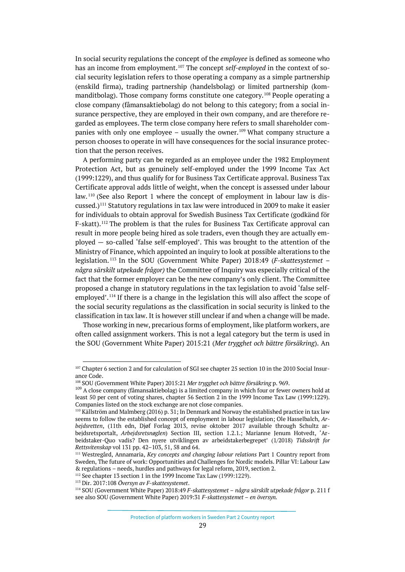In social security regulations the concept of the *employee* is defined as someone who has an income from employment. [107](#page-28-0) The concept *self-employed* in the context of social security legislation refers to those operating a company as a simple partnership (enskild firma), trading partnership (handelsbolag) or limited partnership (kommanditbolag). Those company forms constitute one category.[108](#page-28-1) People operating a close company (fåmansaktiebolag) do not belong to this category; from a social insurance perspective, they are employed in their own company, and are therefore regarded as employees. The term close company here refers to small shareholder com-panies with only one employee – usually the owner.<sup>[109](#page-28-2)</sup> What company structure a person chooses to operate in will have consequences for the social insurance protection that the person receives.

A performing party can be regarded as an employee under the 1982 Employment Protection Act, but as genuinely self-employed under the 1999 Income Tax Act (1999:1229), and thus qualify for for Business Tax Certificate approval. Business Tax Certificate approval adds little of weight, when the concept is assessed under labour law. [110](#page-28-3) (See also Report 1 where the concept of employment in labour law is discussed.)[111](#page-28-4) Statutory regulations in tax law were introduced in 2009 to make it easier for individuals to obtain approval for Swedish Business Tax Certificate (godkänd för F-skatt).[112](#page-28-5) The problem is that the rules for Business Tax Certificate approval can result in more people being hired as sole traders, even though they are actually employed — so-called 'false self-employed'. This was brought to the attention of the Ministry of Finance, which appointed an inquiry to look at possible alterations to the legislation. [113](#page-28-6) In the SOU (Government White Paper) 2018:49 (*F-skattesystemet – några särskilt utpekade frågor)* the Committee of Inquiry was especially critical of the fact that the former employer can be the new company's only client. The Committee proposed a change in statutory regulations in the tax legislation to avoid 'false self-employed'.<sup>[114](#page-28-7)</sup> If there is a change in the legislation this will also affect the scope of the social security regulations as the classification in social security is linked to the classification in tax law. It is however still unclear if and when a change will be made.

Those working in new, precarious forms of employment, like platform workers, are often called assignment workers. This is not a legal category but the term is used in the SOU (Government White Paper) 2015:21 (*Mer trygghet och bättre försäkring*). An

<span id="page-28-0"></span><sup>&</sup>lt;sup>107</sup> Chapter 6 section 2 and for calculation of SGI see chapter 25 section 10 in the 2010 Social Insurance Code.

<sup>108</sup> SOU (Government White Paper) 2015:21 *Mer trygghet och bättre försäkring* p. 969.

<span id="page-28-2"></span><span id="page-28-1"></span><sup>&</sup>lt;sup>109</sup> A close company (fåmansaktiebolag) is a limited company in which four or fewer owners hold at least 50 per cent of voting shares, chapter 56 Section 2 in the 1999 Income Tax Law (1999:1229). Companies listed on the stock exchange are not close companies.

<span id="page-28-3"></span><sup>110</sup> Källström and Malmberg (2016) p. 31; In Denmark and Norway the established practice in tax law seems to follow the established concept of employment in labour legislation; Ole Hasselbalch, *Arbejdsretten*, (11th edn, Djøf Forlag 2013, revise oktober 2017 available through Schultz arbejdsretsportalt, *Arbejdsretsnøglen*) Section III, section 1.2.1.; Marianne Jenum Hotvedt, 'Arbeidstaker-Quo vadis? Den nyere utviklingen av arbeidstakerbegrepet' (1/2018) *Tidsskrift for Rettsvitenskap* vol 131 pp. 42–103, 51, 58 and 64.

<span id="page-28-4"></span><sup>111</sup> Westregård, Annamaria, *Key concepts and changing labour relations* Part 1 Country report from Sweden, The future of work: Opportunities and Challenges for Nordic models. Pillar VI: Labour Law & regulations – needs, hurdles and pathways for legal reform, 2019, section 2.

<span id="page-28-5"></span><sup>&</sup>lt;sup>112</sup> See chapter 13 section 1 in the 1999 Income Tax Law (1999:1229).

<span id="page-28-7"></span><span id="page-28-6"></span><sup>113</sup> Dir. 2017:108 *Översyn av F-skattesystemet*. 114 SOU (Government White Paper) 2018:49 *F-skattesystemet – några särskilt utpekade frågor* p. 211 f see also SOU (Government White Paper) 2019:31 *F-skattesystemet – en översyn.*

Protection of platform workers in Sweden Part 2 Country report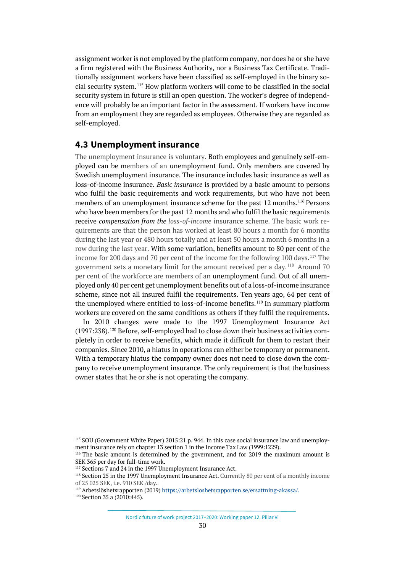assignment worker is not employed by the platform company, nor does he or she have a firm registered with the Business Authority, nor a Business Tax Certificate. Traditionally assignment workers have been classified as self-employed in the binary social security system.[115](#page-29-1) How platform workers will come to be classified in the social security system in future is still an open question. The worker's degree of independence will probably be an important factor in the assessment. If workers have income from an employment they are regarded as employees. Otherwise they are regarded as self-employed.

## <span id="page-29-0"></span>**4.3 Unemployment insurance**

The unemployment insurance is voluntary. Both employees and genuinely self-employed can be members of an unemployment fund. Only members are covered by Swedish unemployment insurance. The insurance includes basic insurance as well as loss-of-income insurance. *Basic insurance* is provided by a basic amount to persons who fulfil the basic requirements and work requirements, but who have not been members of an unemployment insurance scheme for the past 12 months.<sup>[116](#page-29-2)</sup> Persons who have been members for the past 12 months and who fulfil the basic requirements receive *compensation from the loss-of-income* insurance scheme. The basic work requirements are that the person has worked at least 80 hours a month for 6 months during the last year or 480 hours totally and at least 50 hours a month 6 months in a row during the last year. With some variation, benefits amount to 80 per cent of the income for 200 days and 70 per cent of the income for the following 100 days.<sup>[117](#page-29-3)</sup> The government sets a monetary limit for the amount received per a day. [118](#page-29-4) Around 70 per cent of the workforce are members of an unemployment fund. Out of all unemployed only 40 per cent get unemployment benefits out of a loss-of-income insurance scheme, since not all insured fulfil the requirements. Ten years ago, 64 per cent of the unemployed where entitled to loss-of-income benefits.[119](#page-29-5) In summary platform workers are covered on the same conditions as others if they fulfil the requirements.

In 2010 changes were made to the 1997 Unemployment Insurance Act (1997:238). [120](#page-29-6) Before, self-employed had to close down their business activities completely in order to receive benefits, which made it difficult for them to restart their companies. Since 2010, a hiatus in operations can either be temporary or permanent. With a temporary hiatus the company owner does not need to close down the company to receive unemployment insurance. The only requirement is that the business owner states that he or she is not operating the company.

<span id="page-29-1"></span><sup>115</sup> SOU (Government White Paper) 2015:21 p. 944. In this case social insurance law and unemployment insurance rely on chapter 13 section 1 in the Income Tax Law (1999:1229).<br><sup>116</sup> The basic amount is determined by the government, and for 2019 the maximum amount is

<span id="page-29-2"></span>SEK 365 per day for full-time work.<br><sup>117</sup> Sections 7 and 24 in the 1997 Unemployment Insurance Act.

<span id="page-29-4"></span><span id="page-29-3"></span><sup>&</sup>lt;sup>118</sup> Section 25 in the 1997 Unemployment Insurance Act. Currently 80 per cent of a monthly income of 25 025 SEK, i.e. 910 SEK /day.

<span id="page-29-5"></span><sup>119</sup> Arbetslöshetsrapporten (2019) https://arbetsloshetsrapporten.se/ersattning-akassa/.

<span id="page-29-6"></span><sup>&</sup>lt;sup>120</sup> Section 35 a (2010:445).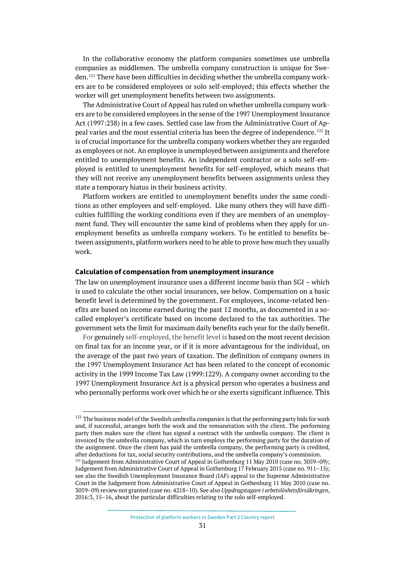In the collaborative economy the platform companies sometimes use umbrella companies as middlemen. The umbrella company construction is unique for Sweden.[121](#page-30-0) There have been difficulties in deciding whether the umbrella company workers are to be considered employees or solo self-employed; this effects whether the worker will get unemployment benefits between two assignments.

The Administrative Court of Appeal has ruled on whether umbrella company workers are to be considered employees in the sense of the 1997 Unemployment Insurance Act (1997:238) in a few cases. Settled case law from the Administrative Court of Ap-peal varies and the most essential criteria has been the degree of independence.<sup>[122](#page-30-1)</sup> It is of crucial importance for the umbrella company workers whether they are regarded as employees or not. An employee is unemployed between assignments and therefore entitled to unemployment benefits. An independent contractor or a solo self-employed is entitled to unemployment benefits for self-employed, which means that they will not receive any unemployment benefits between assignments unless they state a temporary hiatus in their business activity.

Platform workers are entitled to unemployment benefits under the same conditions as other employees and self-employed. Like many others they will have difficulties fulfilling the working conditions even if they are members of an unemployment fund. They will encounter the same kind of problems when they apply for unemployment benefits as umbrella company workers. To be entitled to benefits between assignments, platform workers need to be able to prove how much they usually work.

#### **Calculation of compensation from unemployment insurance**

The law on unemployment insurance uses a different income basis than SGI – which is used to calculate the other social insurances, see below. Compensation on a basic benefit level is determined by the government. For employees, income-related benefits are based on income earned during the past 12 months, as documented in a socalled employer's certificate based on income declared to the tax authorities. The government sets the limit for maximum daily benefits each year for the daily benefit.

For genuinely self-employed, the benefit level is based on the most recent decision on final tax for an income year, or if it is more advantageous for the individual, on the average of the past two years of taxation. The definition of company owners in the 1997 Unemployment Insurance Act has been related to the concept of economic activity in the 1999 Income Tax Law (1999:1229). A company owner according to the 1997 Unemployment Insurance Act is a physical person who operates a business and who personally performs work over which he or she exerts significant influence. This

<span id="page-30-0"></span> $^{121}$  The business model of the Swedish umbrella companies is that the performing party bids for work and, if successful, arranges both the work and the remuneration with the client. The performing party then makes sure the client has signed a contract with the umbrella company. The client is invoiced by the umbrella company, which in turn employs the performing party for the duration of the assignment. Once the client has paid the umbrella company, the performing party is credited, after deductions for tax, social security contributions, and the umbrella company's commission.

<span id="page-30-1"></span><sup>&</sup>lt;sup>122</sup> Judgement from Administrative Court of Appeal in Gothenburg 11 May 2010 (case no. 3059-09); Judgement from Administrative Court of Appeal in Gothenburg 17 February 2015 (case no. 911–15); see also the Swedish Unemployment Insurance Board (IAF) appeal to the Supreme Administrative Court in the Judgement from Administrative Court of Appeal in Gothenburg 11 May 2010 (case no. 3059–09) review not granted (case no. 4218–10). See also *Uppdragstagare i arbetslöshetsförsäkringen*, 2016:3, 15–16, about the particular difficulties relating to the solo self-employed.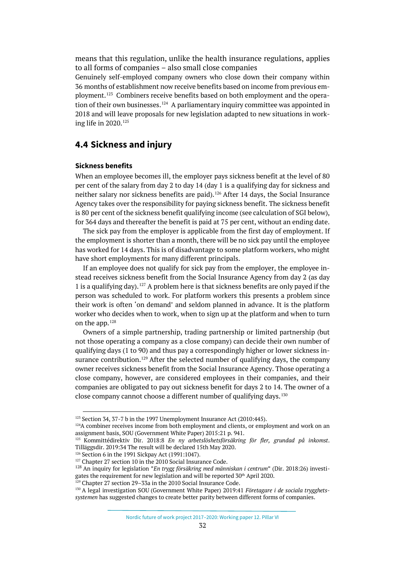means that this regulation, unlike the health insurance regulations, applies to all forms of companies – also small close companies

Genuinely self-employed company owners who close down their company within 36 months of establishment now receive benefits based on income from previous employment.[123](#page-31-1) Combiners receive benefits based on both employment and the opera-tion of their own businesses.<sup>[124](#page-31-2)</sup> A parliamentary inquiry committee was appointed in 2018 and will leave proposals for new legislation adapted to new situations in working life in 2020. [125](#page-31-3)

## <span id="page-31-0"></span>**4.4 Sickness and injury**

#### **Sickness benefits**

When an employee becomes ill, the employer pays sickness benefit at the level of 80 per cent of the salary from day 2 to day 14 (day 1 is a qualifying day for sickness and neither salary nor sickness benefits are paid).<sup>[126](#page-31-4)</sup> After 14 days, the Social Insurance Agency takes over the responsibility for paying sickness benefit. The sickness benefit is 80 per cent of the sickness benefit qualifying income (see calculation of SGI below), for 364 days and thereafter the benefit is paid at 75 per cent, without an ending date.

The sick pay from the employer is applicable from the first day of employment. If the employment is shorter than a month, there will be no sick pay until the employee has worked for 14 days. This is of disadvantage to some platform workers, who might have short employments for many different principals.

If an employee does not qualify for sick pay from the employer, the employee instead receives sickness benefit from the Social Insurance Agency from day 2 (as day 1 is a qualifying day). [127](#page-31-5) A problem here is that sickness benefits are only payed if the person was scheduled to work. For platform workers this presents a problem since their work is often 'on demand' and seldom planned in advance. It is the platform worker who decides when to work, when to sign up at the platform and when to turn on the app.[128](#page-31-6)

Owners of a simple partnership, trading partnership or limited partnership (but not those operating a company as a close company) can decide their own number of qualifying days (1 to 90) and thus pay a correspondingly higher or lower sickness in-surance contribution.<sup>[129](#page-31-7)</sup> After the selected number of qualifying days, the company owner receives sickness benefit from the Social Insurance Agency. Those operating a close company, however, are considered employees in their companies, and their companies are obligated to pay out sickness benefit for days 2 to 14. The owner of a close company cannot choose a different number of qualifying days.<sup>[130](#page-31-8)</sup>

<span id="page-31-1"></span><sup>&</sup>lt;sup>123</sup> Section 34, 37-7 b in the 1997 Unemployment Insurance Act (2010:445).

<span id="page-31-2"></span><sup>&</sup>lt;sup>124</sup>A combiner receives income from both employment and clients, or employment and work on an assignment basis, SOU (Government White Paper) 2015:21 p. 941.

<span id="page-31-3"></span><sup>125</sup> Kommittédirektiv Dir. 2018:8 *En ny arbetslöshetsförsäkring för fler, grundad på inkomst*. Tilläggsdir. 2019:34 The result will be declared 15th May 2020.

<span id="page-31-4"></span><sup>126</sup> Section 6 in the 1991 Sickpay Act (1991:1047).

<span id="page-31-5"></span><sup>&</sup>lt;sup>127</sup> Chapter 27 section 10 in the 2010 Social Insurance Code.

<span id="page-31-6"></span><sup>128</sup> An inquiry for legislation "*En trygg försäkring med människan i centrum*" (Dir. 2018:26) investigates the requirement for new legislation and will be reported 30<sup>th</sup> April 2020. <sup>129</sup> Chapter 27 section 29–33a in the 2010 Social Insurance Code.

<span id="page-31-8"></span><span id="page-31-7"></span><sup>130</sup> A legal investigation SOU (Government White Paper) 2019:41 *Företagare i de sociala trygghetssystemen* has suggested changes to create better parity between different forms of companies.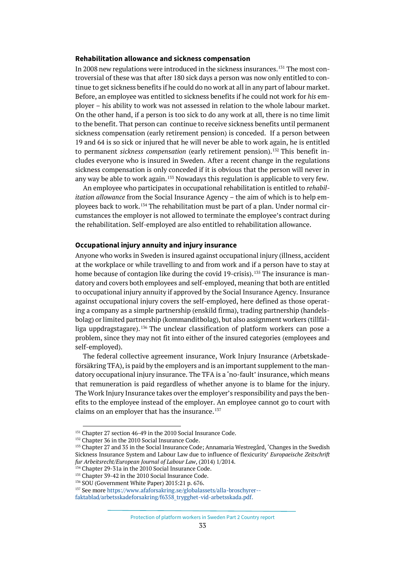#### **Rehabilitation allowance and sickness compensation**

In 2008 new regulations were introduced in the sickness insurances.<sup>[131](#page-32-0)</sup> The most controversial of these was that after 180 sick days a person was now only entitled to continue to get sickness benefits if he could do no work at all in any part of labour market. Before, an employee was entitled to sickness benefits if he could not work for *his* employer – his ability to work was not assessed in relation to the whole labour market. On the other hand, if a person is too sick to do any work at all, there is no time limit to the benefit. That person can continue to receive sickness benefits until permanent sickness compensation (early retirement pension) is conceded. If a person between 19 and 64 is so sick or injured that he will never be able to work again, he is entitled to permanent *sickness compensation* (early retirement pension).<sup>[132](#page-32-1)</sup> This benefit includes everyone who is insured in Sweden. After a recent change in the regulations sickness compensation is only conceded if it is obvious that the person will never in any way be able to work again.<sup>[133](#page-32-2)</sup> Nowadays this regulation is applicable to very few.

An employee who participates in occupational rehabilitation is entitled to *rehabilitation allowance* from the Social Insurance Agency – the aim of which is to help em-ployees back to work.<sup>[134](#page-32-3)</sup> The rehabilitation must be part of a plan. Under normal circumstances the employer is not allowed to terminate the employee's contract during the rehabilitation. Self-employed are also entitled to rehabilitation allowance.

#### **Occupational injury annuity and injury insurance**

Anyone who works in Sweden is insured against occupational injury (illness, accident at the workplace or while travelling to and from work and if a person have to stay at home because of contagion like during the covid 19-crisis).<sup>[135](#page-32-4)</sup> The insurance is mandatory and covers both employees and self-employed, meaning that both are entitled to occupational injury annuity if approved by the Social Insurance Agency. Insurance against occupational injury covers the self-employed, here defined as those operating a company as a simple partnership (enskild firma), trading partnership (handelsbolag) or limited partnership (kommanditbolag), but also assignment workers (tillfälliga uppdragstagare). [136](#page-32-5) The unclear classification of platform workers can pose a problem, since they may not fit into either of the insured categories (employees and self-employed).

The federal collective agreement insurance, Work Injury Insurance (Arbetskadeförsäkring TFA), is paid by the employers and is an important supplement to the mandatory occupational injury insurance. The TFA is a 'no-fault' insurance, which means that remuneration is paid regardless of whether anyone is to blame for the injury. The Work Injury Insurance takes over the employer's responsibility and pays the benefits to the employee instead of the employer. An employee cannot go to court with claims on an employer that has the insurance.<sup>[137](#page-32-6)</sup>

<sup>&</sup>lt;sup>131</sup> Chapter 27 section 46-49 in the 2010 Social Insurance Code.

<span id="page-32-1"></span><span id="page-32-0"></span><sup>&</sup>lt;sup>132</sup> Chapter 36 in the 2010 Social Insurance Code.

<span id="page-32-2"></span><sup>&</sup>lt;sup>133</sup> Chapter 27 and 35 in the Social Insurance Code; Annamaria Westregård, 'Changes in the Swedish Sickness Insurance System and Labour Law due to influence of flexicurity' *Europaeische Zeitschrift fur Arbeitsrecht*/*European Journal of Labour Law*, (2014) 1/2014. 134 Chapter 29-31a in the 2010 Social Insurance Code.

<span id="page-32-3"></span>

<span id="page-32-4"></span><sup>&</sup>lt;sup>135</sup> Chapter 39-42 in the 2010 Social Insurance Code.

<span id="page-32-5"></span><sup>136</sup> SOU (Government White Paper) 2015:21 p. 676.

<span id="page-32-6"></span><sup>137</sup> See mor[e https://www.afaforsakring.se/globalassets/alla-broschyrer--](https://www.afaforsakring.se/globalassets/alla-broschyrer--faktablad/arbetsskadeforsakring/f6358_trygghet-vid-arbetsskada.pdf)

[faktablad/arbetsskadeforsakring/f6358\\_trygghet-vid-arbetsskada.pdf.](https://www.afaforsakring.se/globalassets/alla-broschyrer--faktablad/arbetsskadeforsakring/f6358_trygghet-vid-arbetsskada.pdf)

Protection of platform workers in Sweden Part 2 Country report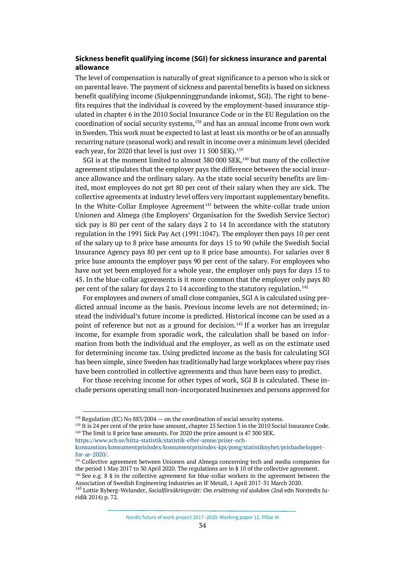### **Sickness benefit qualifying income (SGI) for sickness insurance and parental allowance**

The level of compensation is naturally of great significance to a person who is sick or on parental leave. The payment of sickness and parental benefits is based on sickness benefit qualifying income (Sjukpenninggrundande inkomst, SGI). The right to benefits requires that the individual is covered by the employment-based insurance stipulated in chapter 6 in the 2010 Social Insurance Code or in the EU [Regulation on the](http://eur-lex.europa.eu/legal-content/EN/AUTO/?uri=celex:32004R0883R(01))  [coordination of social security systems,](http://eur-lex.europa.eu/legal-content/EN/AUTO/?uri=celex:32004R0883R(01)) [138](#page-33-0) and has an annual income from own work in Sweden. This work must be expected to last at least six months or be of an annually recurring nature (seasonal work) and result in income over a minimum level (decided each year, for 2020 that level is just over 11 500 SEK).<sup>[139](#page-33-1)</sup>

SGI is at the moment limited to almost 380 000 SEK,<sup>140</sup> but many of the collective agreement stipulates that the employer pays the difference between the social insurance allowance and the ordinary salary. As the state social security benefits are limited, most employees do not get 80 per cent of their salary when they are sick. The collective agreements at industry level offers very important supplementary benefits. In the White-Collar Employee Agreement<sup>[141](#page-33-3)</sup> between the white-collar trade union Unionen and Almega (the Employers' Organisation for the Swedish Service Sector) sick pay is 80 per cent of the salary days 2 to 14 In accordance with the statutory regulation in the 1991 Sick Pay Act (1991:1047). The employer then pays 10 per cent of the salary up to 8 price base amounts for days 15 to 90 (while the Swedish Social Insurance Agency pays 80 per cent up to 8 price base amounts). For salaries over 8 price base amounts the employer pays 90 per cent of the salary. For employees who have not yet been employed for a whole year, the employer only pays for days 15 to 45. In the blue-collar agreements is it more common that the employer only pays 80 per cent of the salary for days 2 to 14 according to the statutory regulation.<sup>[142](#page-33-4)</sup>

For employees and owners of small close companies, SGI A is calculated using predicted annual income as the basis. Previous income levels are not determined; instead the individual's future income is predicted. Historical income can be used as a point of reference but not as a ground for decision.<sup>[143](#page-33-5)</sup> If a worker has an irregular income, for example from sporadic work, the calculation shall be based on information from both the individual and the employer, as well as on the estimate used for determining income tax. Using predicted income as the basis for calculating SGI has been simple, since Sweden has traditionally had large workplaces where pay rises have been controlled in collective agreements and thus have been easy to predict.

For those receiving income for other types of work, SGI B is calculated. These include persons operating small non-incorporated businesses and persons approved for

<span id="page-33-2"></span>[https://www.scb.se/hitta-statistik/statistik-efter-amne/priser-och-](https://www.scb.se/hitta-statistik/statistik-efter-amne/priser-och-konsumtion/konsumentprisindex/konsumentprisindex-kpi/pong/statistiknyhet/prisbasbeloppet-for-ar-2020/)

<span id="page-33-0"></span> $138$  Regulation (EC) No 883/2004 — [on the coordination of social security systems.](http://eur-lex.europa.eu/legal-content/EN/AUTO/?uri=celex:32004R0883R(01))

<span id="page-33-1"></span><sup>&</sup>lt;sup>139</sup> It is 24 per cent of the price base amount, chapter 25 Section 3 in the 2010 Social Insurance Code. <sup>140</sup> The limit is 8 price base amounts. For 2020 the price amount is 47 300 SEK.

[konsumtion/konsumentprisindex/konsumentprisindex-kpi/pong/statistiknyhet/prisbasbeloppet](https://www.scb.se/hitta-statistik/statistik-efter-amne/priser-och-konsumtion/konsumentprisindex/konsumentprisindex-kpi/pong/statistiknyhet/prisbasbeloppet-for-ar-2020/)[for-ar-2020/.](https://www.scb.se/hitta-statistik/statistik-efter-amne/priser-och-konsumtion/konsumentprisindex/konsumentprisindex-kpi/pong/statistiknyhet/prisbasbeloppet-for-ar-2020/)

<span id="page-33-3"></span><sup>&</sup>lt;sup>141</sup> Collective agreement between Unionen and Almega concerning tech and media companies for the period 1 May 2017 to 30 April 2020. The regulations are in § 10 of the collective agreement.

<span id="page-33-4"></span><sup>&</sup>lt;sup>142</sup> See e.g. 8 § in the collective agreement for blue-collar workers in the agreement between the Association of Swedish Engineering Industries an IF Metall, 1 April 2017-31 March 2020. 143 Lottie Ryberg-Welander, *Socialförsäkringsrätt: Om ersättning vid sjukdom* (2nd edn Norstedts Ju-

<span id="page-33-5"></span>ridik 2014) p. 72.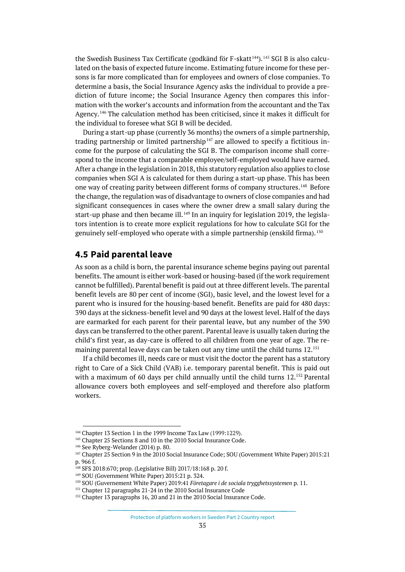the Swedish Business Tax Certificate (godkänd för F-skatt<sup>[144](#page-34-1)</sup>). <sup>[145](#page-34-2)</sup> SGI B is also calculated on the basis of expected future income. Estimating future income for these persons is far more complicated than for employees and owners of close companies. To determine a basis, the Social Insurance Agency asks the individual to provide a prediction of future income; the Social Insurance Agency then compares this information with the worker's accounts and information from the accountant and the Tax Agency.<sup>[146](#page-34-3)</sup> The calculation method has been criticised, since it makes it difficult for the individual to foresee what SGI B will be decided.

During a start-up phase (currently 36 months) the owners of a simple partnership, trading partnership or limited partnership<sup>[147](#page-34-4)</sup> are allowed to specify a fictitious income for the purpose of calculating the SGI B. The comparison income shall correspond to the income that a comparable employee/self-employed would have earned. After a change in the legislation in 2018, this statutory regulation also applies to close companies when SGI A is calculated for them during a start-up phase. This has been one way of creating parity between different forms of company structures.<sup>[148](#page-34-5)</sup> Before the change, the regulation was of disadvantage to owners of close companies and had significant consequences in cases where the owner drew a small salary during the start-up phase and then became ill.<sup>[149](#page-34-6)</sup> In an inquiry for legislation 2019, the legislators intention is to create more explicit regulations for how to calculate SGI for the genuinely self-employed who operate with a simple partnership (enskild firma). [150](#page-34-7)

## <span id="page-34-0"></span>**4.5 Paid parental leave**

As soon as a child is born, the parental insurance scheme begins paying out parental benefits. The amount is either work-based or housing-based (if the work requirement cannot be fulfilled). Parental benefit is paid out at three different levels. The parental benefit levels are 80 per cent of income (SGI), basic level, and the lowest level for a parent who is insured for the housing-based benefit. Benefits are paid for 480 days: 390 days at the sickness-benefit level and 90 days at the lowest level. Half of the days are earmarked for each parent for their parental leave, but any number of the 390 days can be transferred to the other parent. Parental leave is usually taken during the child's first year, as day-care is offered to all children from one year of age. The re-maining parental leave days can be taken out any time until the child turns 12.<sup>[151](#page-34-8)</sup>

If a child becomes ill, needs care or must visit the doctor the parent has a statutory right to Care of a Sick Child (VAB) i.e. temporary parental benefit. This is paid out with a maximum of 60 days per child annually until the child turns 12.<sup>[152](#page-34-9)</sup> Parental allowance covers both employees and self-employed and therefore also platform workers.

Protection of platform workers in Sweden Part 2 Country report

<span id="page-34-2"></span><span id="page-34-1"></span><sup>&</sup>lt;sup>144</sup> Chapter 13 Section 1 in the 1999 Income Tax Law (1999:1229).<br><sup>145</sup> Chapter 25 Sections 8 and 10 in the 2010 Social Insurance Code.

<sup>146</sup> See Ryberg-Welander (2014) p. 80.

<span id="page-34-4"></span><span id="page-34-3"></span><sup>147</sup> Chapter 25 Section 9 in the 2010 Social Insurance Code; SOU (Government White Paper) 2015:21 p. 966 f.

<span id="page-34-5"></span><sup>&</sup>lt;sup>148</sup> SFS 2018:670; prop. (Legislative Bill) 2017/18:168 p. 20 f.<br><sup>149</sup> SOU (Government White Paper) 2015:21 p. 324.

<span id="page-34-6"></span>

<span id="page-34-7"></span><sup>150</sup> SOU (Guvernement White Paper) 2019:41 *Företagare i de sociala trygghetssystemen* p. 11.

<span id="page-34-8"></span><sup>&</sup>lt;sup>151</sup> Chapter 12 paragraphs 21-24 in the 2010 Social Insurance Code

<span id="page-34-9"></span><sup>&</sup>lt;sup>152</sup> Chapter 13 paragraphs 16, 20 and 21 in the 2010 Social Insurance Code.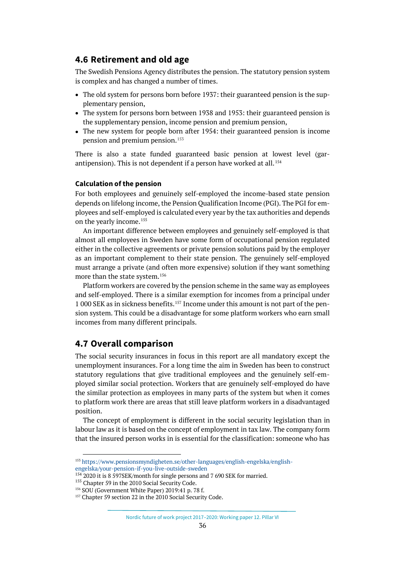## <span id="page-35-0"></span>**4.6 Retirement and old age**

The Swedish Pensions Agency distributes the pension. The statutory pension system is complex and has changed a number of times.

- The old system for persons born before 1937: their guaranteed pension is the supplementary pension,
- The system for persons born between 1938 and 1953: their guaranteed pension is the supplementary pension, income pension and premium pension,
- The new system for people born after 1954: their guaranteed pension is income pension and premium pension.[153](#page-35-2)

There is also a state funded guaranteed basic pension at lowest level (garantipension). This is not dependent if a person have worked at all. [154](#page-35-3)

#### **Calculation of the pension**

For both employees and genuinely self-employed the income-based state pension depends on lifelong income, the Pension Qualification Income (PGI). The PGI for employees and self-employed is calculated every year by the tax authorities and depends on the yearly income.<sup>[155](#page-35-4)</sup>

An important difference between employees and genuinely self-employed is that almost all employees in Sweden have some form of occupational pension regulated either in the collective agreements or private pension solutions paid by the employer as an important complement to their state pension. The genuinely self-employed must arrange a private (and often more expensive) solution if they want something more than the state system.<sup>[156](#page-35-5)</sup>

Platform workers are covered by the pension scheme in the same way as employees and self-employed. There is a similar exemption for incomes from a principal under 1 000 SEK as in sickness benefits.[157](#page-35-6) Income under this amount is not part of the pension system. This could be a disadvantage for some platform workers who earn small incomes from many different principals.

## <span id="page-35-1"></span>**4.7 Overall comparison**

The social security insurances in focus in this report are all mandatory except the unemployment insurances. For a long time the aim in Sweden has been to construct statutory regulations that give traditional employees and the genuinely self-employed similar social protection. Workers that are genuinely self-employed do have the similar protection as employees in many parts of the system but when it comes to platform work there are areas that still leave platform workers in a disadvantaged position.

The concept of employment is different in the social security legislation than in labour law as it is based on the concept of employment in tax law. The company form that the insured person works in is essential for the classification: someone who has

<span id="page-35-2"></span><sup>153</sup> [https://www.pensionsmyndigheten.se/other-languages/english-engelska/english](https://www.pensionsmyndigheten.se/other-languages/english-engelska/english-engelska/your-pension-if-you-live-outside-sweden)[engelska/your-pension-if-you-live-outside-sweden](https://www.pensionsmyndigheten.se/other-languages/english-engelska/english-engelska/your-pension-if-you-live-outside-sweden)

 $154$  2020 it is 8 597SEK/month for single persons and 7 690 SEK for married.

<span id="page-35-4"></span><span id="page-35-3"></span><sup>&</sup>lt;sup>155</sup> Chapter 59 in the 2010 Social Security Code.

<span id="page-35-5"></span><sup>156</sup> SOU (Government White Paper) 2019:41 p. 78 f.

<span id="page-35-6"></span><sup>&</sup>lt;sup>157</sup> Chapter 59 section 22 in the 2010 Social Security Code.